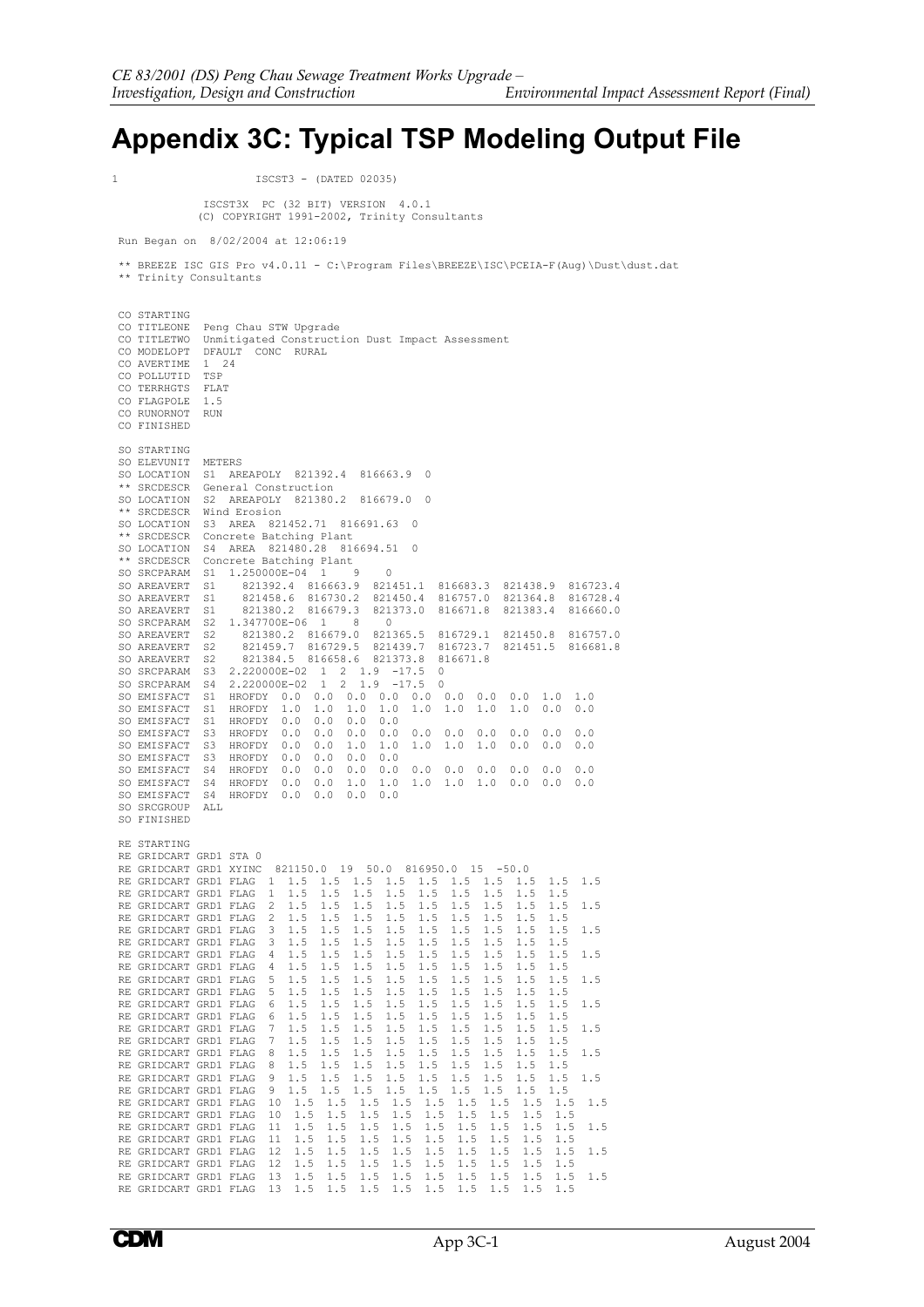## **Appendix 3C: Typical TSP Modeling Output File**

1 ISCST3 - (DATED 02035)

 ISCST3X PC (32 BIT) VERSION 4.0.1 (C) COPYRIGHT 1991-2002, Trinity Consultants

Run Began on 8/02/2004 at 12:06:19

 \*\* BREEZE ISC GIS Pro v4.0.11 - C:\Program Files\BREEZE\ISC\PCEIA-F(Aug)\Dust\dust.dat \*\* Trinity Consultants

| CO STARTING<br>CO TITLEONE<br>CO TITLETWO Unmitigated Construction Dust Impact Assessment<br>CO MODELOPT<br>CO AVERTIME<br>CO POLLUTID<br>CO TERRHGTS<br>CO FLAGPOLE<br>CO RUNORNOT<br>CO FINISHED                                     | 1<br>TSP<br>FLAT<br>1.5<br>RUN       | Peng Chau STW Upgrade<br>DFAULT CONC RURAL<br>24                                                                                                                                                      |                |            |                                                                                                 |                        |                          |                      |                                  |     |                      |                  |            |                                        |            |            |                      |  |
|----------------------------------------------------------------------------------------------------------------------------------------------------------------------------------------------------------------------------------------|--------------------------------------|-------------------------------------------------------------------------------------------------------------------------------------------------------------------------------------------------------|----------------|------------|-------------------------------------------------------------------------------------------------|------------------------|--------------------------|----------------------|----------------------------------|-----|----------------------|------------------|------------|----------------------------------------|------------|------------|----------------------|--|
| SO STARTING<br>SO ELEVUNIT<br>SO LOCATION<br>** SRCDESCR<br>SO LOCATION<br>** SRCDESCR<br>SO LOCATION<br>** SRCDESCR<br>SO LOCATION<br>** SRCDESCR Concrete Batching Plant<br>SO SRCPARAM<br>SO AREAVERT<br>SO AREAVERT<br>SO AREAVERT | METERS<br>S3<br>S1<br>S1<br>S1<br>S1 | S1 AREAPOLY 821392.4<br>General Construction<br>S2 AREAPOLY 821380.2 816679.0<br>Wind Erosion<br>AREA 821452.71 816691.63<br>Concrete Batching Plant<br>S4 AREA 821480.28 816694.51<br>1.250000E-04 1 |                |            | 821392.4 816663.9 821451.1 816683.3 821438.9 816723.4<br>821458.6 816730.2<br>821380.2 816679.3 | - 9                    |                          | 816663.9<br>- 0<br>0 | 0<br>0<br>0<br>821373.0          |     | 816671.8             |                  |            | 821450.4 816757.0 821364.8<br>821383.4 |            |            | 816728.4<br>816660.0 |  |
| SO SRCPARAM<br>SO AREAVERT                                                                                                                                                                                                             | S2<br>S2                             | 1.347700E-06 1<br>821380.2 816679.0                                                                                                                                                                   |                |            |                                                                                                 | 8                      | $\overline{\phantom{0}}$ | 821365.5             |                                  |     | 816729.1             |                  |            | 821450.8                               |            |            | 816757.0             |  |
| SO AREAVERT<br>SO AREAVERT                                                                                                                                                                                                             | S2<br>S2                             |                                                                                                                                                                                                       |                |            | 821459.7 816729.5 821439.7<br>821384.5 816658.6 821373.8                                        |                        |                          |                      |                                  |     | 816723.7<br>816671.8 |                  |            | 821451.5                               |            |            | 816681.8             |  |
| SO SRCPARAM                                                                                                                                                                                                                            |                                      | S3 2.220000E-02 1                                                                                                                                                                                     |                |            |                                                                                                 | $2 \t1.9 \t-17.5$      |                          |                      |                                  | 0   |                      |                  |            |                                        |            |            |                      |  |
| SO SRCPARAM<br>SO EMISFACT                                                                                                                                                                                                             |                                      | S4 2.220000E-02                                                                                                                                                                                       |                |            | $\mathbf{1}$                                                                                    | $\mathbf{2}$           |                          | $1.9 - 17.5$         |                                  | 0   |                      |                  |            |                                        |            |            |                      |  |
| SO EMISFACT                                                                                                                                                                                                                            | S1<br>S1                             | HROFDY<br>HROFDY                                                                                                                                                                                      | 1.0            |            | $0.0 \quad 0.0$<br>1.0                                                                          | $0.0 \quad 0.0$<br>1.0 |                          | 1.0                  | $0.0 \quad 0.0$<br>1.0 1.0       |     |                      | 0.0<br>1.0       |            | 0.0<br>1.0                             | 1.0<br>0.0 |            | 1.0<br>0.0           |  |
| SO EMISFACT                                                                                                                                                                                                                            | S1                                   | HROFDY 0.0                                                                                                                                                                                            |                |            | 0.0                                                                                             | 0.0                    |                          | 0.0                  |                                  |     |                      |                  |            |                                        |            |            |                      |  |
| SO EMISFACT                                                                                                                                                                                                                            |                                      | S3 HROFDY 0.0                                                                                                                                                                                         |                |            | 0.0                                                                                             | $0.0 \quad 0.0$        |                          |                      | 0.0                              |     | 0.0                  | 0.0              |            | 0.0                                    | 0.0        |            | 0.0                  |  |
| SO EMISFACT                                                                                                                                                                                                                            |                                      | S3 HROFDY 0.0                                                                                                                                                                                         | 0.0            |            | 0.0                                                                                             | $1.0$ 1.0              |                          |                      | $1.0 \quad 1.0$                  |     |                      | 1.0              |            | 0.0                                    | 0.0        |            | 0.0                  |  |
| SO EMISFACT<br>SO EMISFACT                                                                                                                                                                                                             |                                      | S3 HROFDY<br>S4 HROFDY 0.0                                                                                                                                                                            |                |            | 0.0<br>0.0                                                                                      | 0.0<br>$0.0 \quad 0.0$ |                          | 0.0                  | $0.0 \quad 0.0$                  |     |                      | 0.0              |            | 0.0                                    | 0.0        |            | 0.0                  |  |
| SO EMISFACT                                                                                                                                                                                                                            |                                      | S4 HROFDY 0.0                                                                                                                                                                                         |                |            | 0.0                                                                                             | 1.0                    |                          | 1.0                  | $1.0 \t1.0$                      |     |                      | 1.0              |            | 0.0                                    | 0.0        |            | 0.0                  |  |
| SO EMISFACT                                                                                                                                                                                                                            | S4                                   | HROFDY                                                                                                                                                                                                |                | 0.0        | 0.0                                                                                             | 0.0                    |                          | 0.0                  |                                  |     |                      |                  |            |                                        |            |            |                      |  |
| SO SRCGROUP                                                                                                                                                                                                                            | ALL                                  |                                                                                                                                                                                                       |                |            |                                                                                                 |                        |                          |                      |                                  |     |                      |                  |            |                                        |            |            |                      |  |
| SO FINISHED                                                                                                                                                                                                                            |                                      |                                                                                                                                                                                                       |                |            |                                                                                                 |                        |                          |                      |                                  |     |                      |                  |            |                                        |            |            |                      |  |
| RE STARTING                                                                                                                                                                                                                            |                                      |                                                                                                                                                                                                       |                |            |                                                                                                 |                        |                          |                      |                                  |     |                      |                  |            |                                        |            |            |                      |  |
| RE GRIDCART GRD1 STA 0                                                                                                                                                                                                                 |                                      |                                                                                                                                                                                                       |                |            |                                                                                                 |                        |                          |                      |                                  |     |                      |                  |            |                                        |            |            |                      |  |
| RE GRIDCART GRD1 XYINC                                                                                                                                                                                                                 |                                      |                                                                                                                                                                                                       |                |            | 821150.0 19 50.0 816950.0 15 -50.0                                                              |                        |                          |                      |                                  |     |                      |                  |            |                                        |            |            |                      |  |
| RE GRIDCART GRD1 FLAG 1 1.5<br>RE GRIDCART GRD1 FLAG                                                                                                                                                                                   |                                      |                                                                                                                                                                                                       | $\mathbf{1}$   | 1.5        | 1.5 1.5<br>1.5                                                                                  | 1.5                    |                          | 1.5                  | 1.5 1.5<br>1.5                   |     | 1.5                  | 1.5 1.5<br>1.5   |            | 1.5<br>1.5                             | 1.5<br>1.5 |            | 1.5                  |  |
| RE GRIDCART GRD1 FLAG                                                                                                                                                                                                                  |                                      |                                                                                                                                                                                                       | $\mathbf{2}$   | 1.5        | 1.5                                                                                             | 1.5                    |                          |                      | $1.5$ 1.5                        |     | 1.5                  | 1.5              |            | 1.5                                    | 1.5        |            | 1.5                  |  |
| RE GRIDCART GRD1 FLAG 2                                                                                                                                                                                                                |                                      |                                                                                                                                                                                                       |                | 1.5        | 1.5                                                                                             | 1.5                    |                          |                      | $1.5 \quad 1.5$                  |     | 1.5                  | 1.5              |            | 1.5                                    | 1.5        |            |                      |  |
| RE GRIDCART GRD1 FLAG 3                                                                                                                                                                                                                |                                      |                                                                                                                                                                                                       |                | 1.5        | 1.5                                                                                             | 1.5                    |                          |                      | $1.5$ 1.5                        |     | 1.5                  | 1.5              |            | 1.5                                    | 1.5        |            | 1.5                  |  |
| RE GRIDCART GRD1 FLAG 3                                                                                                                                                                                                                |                                      |                                                                                                                                                                                                       |                | 1.5        | 1.5                                                                                             | 1.5                    |                          |                      | $1.5 \quad 1.5$<br>$1.5$ 1.5     |     | 1.5<br>1.5           | 1.5              |            | 1.5                                    | 1.5        |            |                      |  |
| RE GRIDCART GRD1 FLAG 4<br>RE GRIDCART GRD1 FLAG 4                                                                                                                                                                                     |                                      |                                                                                                                                                                                                       |                | 1.5<br>1.5 | 1.5<br>1.5                                                                                      | 1.5<br>1.5             |                          |                      | $1.5$ 1.5                        |     | 1.5                  | 1.5<br>1.5       |            | 1.5<br>1.5                             | 1.5<br>1.5 |            | 1.5                  |  |
| RE GRIDCART GRD1 FLAG 5 1.5                                                                                                                                                                                                            |                                      |                                                                                                                                                                                                       |                |            | 1.5                                                                                             | 1.5                    |                          |                      | $1.5 \t1.5$                      |     | 1.5                  | 1.5              |            | 1.5                                    | 1.5        |            | 1.5                  |  |
| RE GRIDCART GRD1 FLAG 5                                                                                                                                                                                                                |                                      |                                                                                                                                                                                                       |                | 1.5        | 1.5                                                                                             | 1.5                    |                          | 1.5                  | 1.5                              |     | 1.5                  | 1.5              |            | 1.5                                    | 1.5        |            |                      |  |
|                                                                                                                                                                                                                                        |                                      |                                                                                                                                                                                                       |                |            |                                                                                                 |                        |                          |                      |                                  |     |                      |                  |            |                                        |            |            |                      |  |
| RE GRIDCART GRD1 FLAG 6 1.5 1.5<br>RE GRIDCART GRD1 FLAG 7 1.5                                                                                                                                                                         |                                      |                                                                                                                                                                                                       |                |            |                                                                                                 |                        |                          |                      | 1.5 1.5 1.5 1.5 1.5<br>$1.5$ 1.5 |     |                      |                  |            | $1.5$ 1.5<br>1.5                       | 1.5        |            |                      |  |
| RE GRIDCART GRD1 FLAG 7 1.5                                                                                                                                                                                                            |                                      |                                                                                                                                                                                                       |                |            | 1.5<br>1.5                                                                                      | 1.5<br>1.5             |                          |                      | $1.5$ 1.5 1.5                    |     |                      | $1.5$ 1.5<br>1.5 |            | 1.5                                    | 1.5        |            | 1.5                  |  |
| RE GRIDCART GRD1 FLAG                                                                                                                                                                                                                  |                                      |                                                                                                                                                                                                       | 8 1.5          |            | 1.5                                                                                             | 1.5                    |                          | 1.5                  |                                  |     | $1.5$ 1.5            | 1.5              |            | 1.5                                    | 1.5        |            | 1.5                  |  |
| RE GRIDCART GRD1 FLAG                                                                                                                                                                                                                  |                                      |                                                                                                                                                                                                       | 8 <sup>2</sup> | $1\,.5$    | 1.5                                                                                             | 1.5                    |                          |                      | $1.5 \quad 1.5$                  |     | 1.5                  | 1.5              |            | 1.5                                    | 1.5        |            |                      |  |
| RE GRIDCART GRD1 FLAG                                                                                                                                                                                                                  |                                      |                                                                                                                                                                                                       | $9 \t1.5$      |            | 1.5                                                                                             | 1.5                    |                          | 1.5                  | 1.5                              |     | 1.5                  | 1.5              |            | 1.5                                    | 1.5        |            | 1.5                  |  |
| RE GRIDCART GRD1 FLAG<br>RE GRIDCART GRD1 FLAG                                                                                                                                                                                         |                                      |                                                                                                                                                                                                       |                | $9 \t1.5$  | 1.5<br>$10 \quad 1.5 \quad 1.5$                                                                 | 1.5                    |                          | 1.5<br>$1.5$ 1.5     | 1.5                              | 1.5 | 1.5<br>1.5           | 1.5              | 1.5        | $1.5$ 1.5<br>1.5                       |            | 1.5        | 1.5                  |  |
| RE GRIDCART GRD1 FLAG                                                                                                                                                                                                                  |                                      |                                                                                                                                                                                                       | 10             |            | $1.5$ 1.5                                                                                       |                        | 1.5                      | 1.5                  |                                  | 1.5 | 1.5                  |                  | 1.5        | 1.5                                    |            | 1.5        |                      |  |
| RE GRIDCART GRD1 FLAG 11                                                                                                                                                                                                               |                                      |                                                                                                                                                                                                       |                |            | 1.5 1.5                                                                                         |                        | 1.5                      |                      | $1.5 \quad 1.5$                  |     | 1.5                  |                  | 1.5        | 1.5                                    |            | 1.5        | 1.5                  |  |
| RE GRIDCART GRD1 FLAG 11                                                                                                                                                                                                               |                                      |                                                                                                                                                                                                       |                |            | 1.5 1.5                                                                                         |                        | 1.5                      | 1.5                  |                                  |     | $1.5 \t1.5$          |                  | 1.5        | 1.5                                    |            | 1.5        |                      |  |
| RE GRIDCART GRD1 FLAG 12<br>RE GRIDCART GRD1 FLAG                                                                                                                                                                                      |                                      |                                                                                                                                                                                                       | 12             |            | 1.5 1.5<br>1.5 1.5                                                                              |                        | 1.5<br>1.5               | 1.5                  | $1.5$ 1.5 1.5                    |     | $1.5$ 1.5            |                  | 1.5<br>1.5 | 1.5<br>1.5                             |            | 1.5<br>1.5 | 1.5                  |  |
| RE GRIDCART GRD1 FLAG                                                                                                                                                                                                                  |                                      |                                                                                                                                                                                                       |                |            | 13 1.5 1.5                                                                                      |                        | 1.5                      |                      | $1.5$ $1.5$ $1.5$ $1.5$          |     |                      |                  |            | 1.5                                    |            | 1.5        | 1.5                  |  |
| RE GRIDCART GRD1 FLAG 13 1.5 1.5 1.5 1.5 1.5 1.5 1.5 1.5                                                                                                                                                                               |                                      |                                                                                                                                                                                                       |                |            |                                                                                                 |                        |                          |                      |                                  |     |                      |                  |            |                                        |            | 1.5        |                      |  |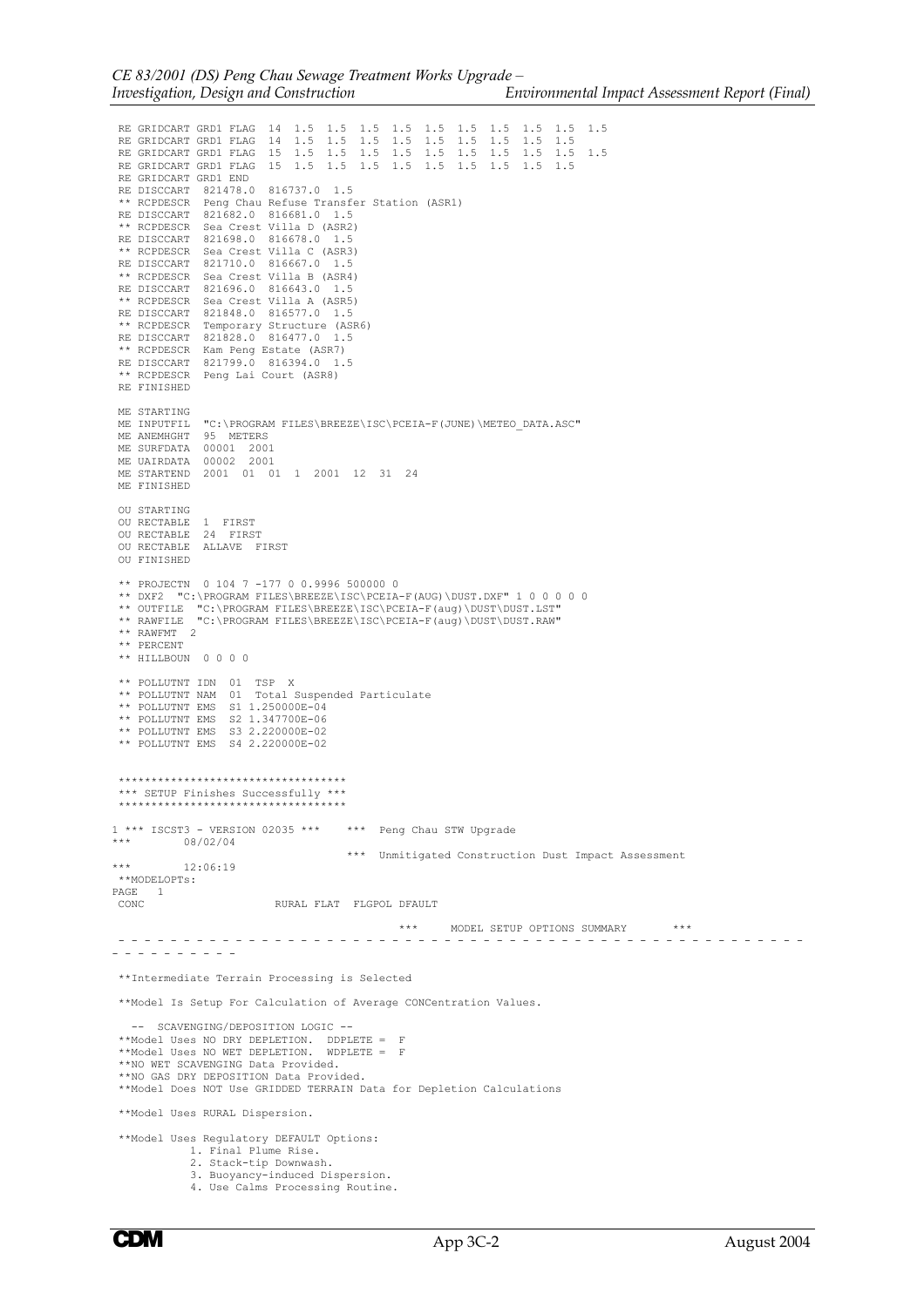RE GRIDCART GRD1 FLAG 14 1.5 1.5 1.5 1.5 1.5 1.5 1.5 1.5 1.5 1.5 RE GRIDCART GRD1 FLAG 14 1.5 1.5 1.5 1.5 1.5 1.5 1.5 1.5 1.5 RE GRIDCART GRD1 FLAG 15 1.5 1.5 1.5 1.5 1.5 1.5 1.5 1.5 1.5 1.5 RE GRIDCART GRD1 FLAG 15 1.5 1.5 1.5 1.5 1.5 1.5 1.5 1.5 1.5 RE GRIDCART GRD1 END RE DISCCART 821478.0 816737.0 1.5 \*\* RCPDESCR Peng Chau Refuse Transfer Station (ASR1) RE DISCCART 821682.0 816681.0 1.5 \*\* RCPDESCR Sea Crest Villa D (ASR2) RE DISCCART 821698.0 816678.0 1.5 \*\* RCPDESCR Sea Crest Villa C (ASR3) RE DISCCART 821710.0 816667.0 1.5 \*\* RCPDESCR Sea Crest Villa B (ASR4) RE DISCCART 821696.0 816643.0 1.5 \*\* RCPDESCR Sea Crest Villa A (ASR5) RE DISCCART 821848.0 816577.0 1.5 \*\* RCPDESCR Temporary Structure (ASR6) RE DISCCART 821828.0 816477.0 1.5 \*\* RCPDESCR Kam Peng Estate (ASR7) RE DISCCART 821799.0 816394.0 1.5 \*\* RCPDESCR Peng Lai Court (ASR8) RE FINISHED ME STARTING ME INPUTFIL "C:\PROGRAM FILES\BREEZE\ISC\PCEIA-F(JUNE)\METEO\_DATA.ASC" ME ANEMHGHT 95 METERS ME SURFDATA 00001 2001 ME UAIRDATA 00002 2001 ME STARTEND 2001 01 01 1 2001 12 31 24 ME FINISHED OU STARTING OU RECTABLE 1 FIRST OU RECTABLE 24 FIRST OU RECTABLE ALLAVE FIRST OU FINISHED \*\* PROJECTN 0 104 7 -177 0 0.9996 500000 0 \*\* DXF2 "C:\PROGRAM FILES\BREEZE\ISC\PCEIA-F(AUG)\DUST.DXF" 1 0 0 0 0 0 \*\* OUTFILE "C:\PROGRAM FILES\BREEZE\ISC\PCEIA-F(aug)\DUST\DUST.LST" \*\* RAWFILE "C:\PROGRAM FILES\BREEZE\ISC\PCEIA-F(aug)\DUST\DUST.RAW" \*\* RAWFMT 2 \*\* PERCENT \*\* HILLBOUN 0 0 0 0 \*\* POLLUTNT IDN 01 TSP X \*\* POLLUTNT NAM 01 Total Suspended Particulate \*\* POLLUTNT EMS S1 1.250000E-04 \*\* POLLUTNT EMS S2 1.347700E-06 \*\* POLLUTNT EMS S3 2.220000E-02 \*\* POLLUTNT EMS S4 2.220000E-02 \*\*\*\*\*\*\*\*\*\*\*\*\*\*\*\*\*\*\*\*\*\*\*\*\*\*\*\*\*\*\*\*\*\*\* \*\*\* SETUP Finishes Successfully \*\*\* \*\*\*\*\*\*\*\*\*\*\*\*\*\*\*\*\*\*\*\*\*\*\*\*\*\*\*\*\*\*\*\*\*\*\*  $1***$  ISCST3 - VERSION 02035 \*\*\* \*\*\* Peng Chau STW Upgrade \*\*\* 08/02/04 \*\*\* Unmitigated Construction Dust Impact Assessment 12:06:19 \*\*MODELOPTs: PAGE 1<br>CONC RURAL FLAT FLGPOL DFAULT \*\*\* MODEL SETUP OPTIONS SUMMARY \*\*\* - - - - - - - - - - - - - - - - - - - - - - - - - - - - - - - - - - - - - - - - - - - - - - - - - - - - - - - - - - - - - - - \*\*Intermediate Terrain Processing is Selected \*\*Model Is Setup For Calculation of Average CONCentration Values. -- SCAVENGING/DEPOSITION LOGIC -- \*\*Model Uses NO DRY DEPLETION. DDPLETE = F \*\*Model Uses NO WET DEPLETION. WDPLETE = F \*\*NO WET SCAVENGING Data Provided. \*\*NO GAS DRY DEPOSITION Data Provided. \*\*Model Does NOT Use GRIDDED TERRAIN Data for Depletion Calculations \*\*Model Uses RURAL Dispersion. \*\*Model Uses Regulatory DEFAULT Options: 1. Final Plume Rise. 2. Stack-tip Downwash. 3. Buoyancy-induced Dispersion. 4. Use Calms Processing Routine.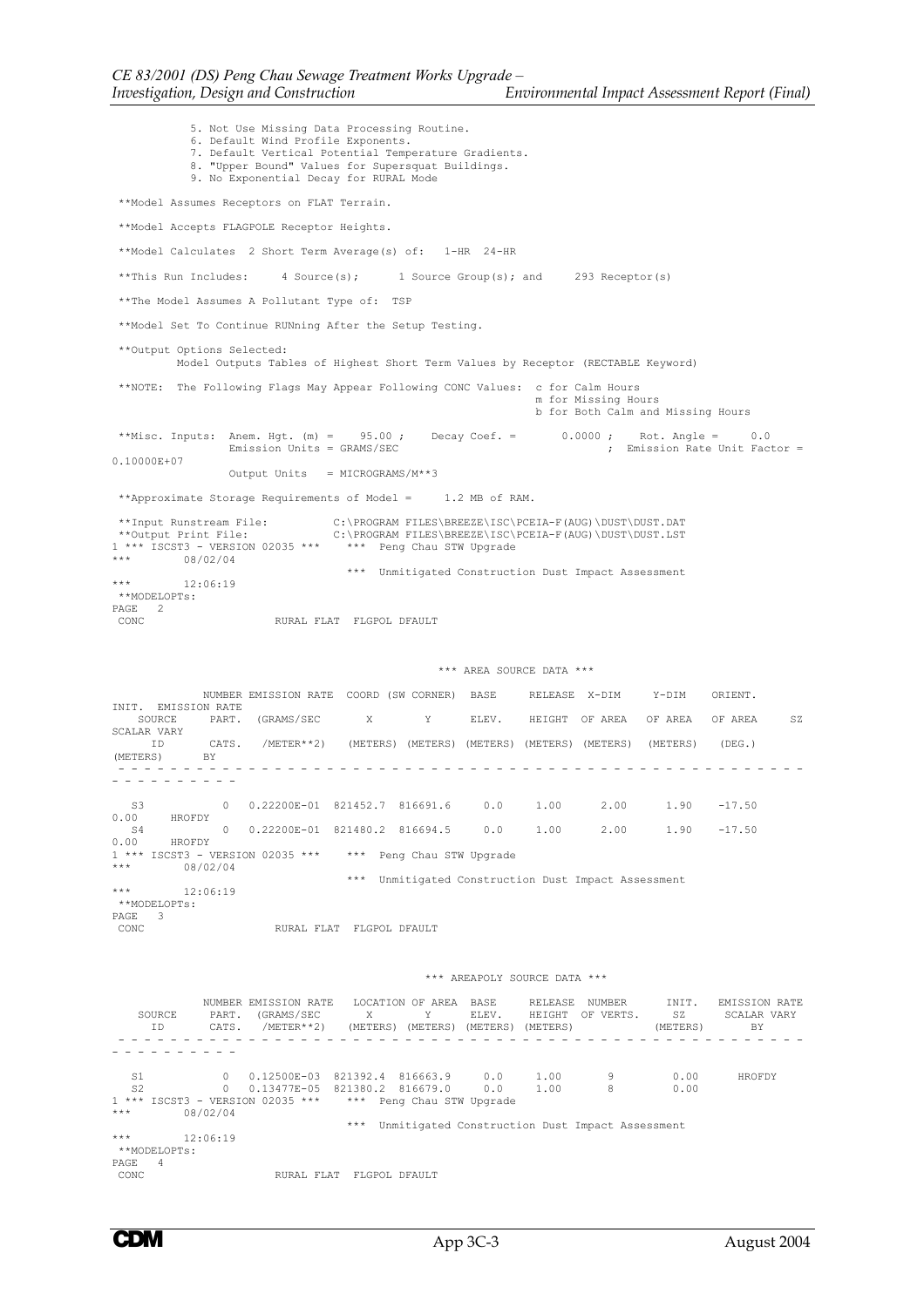5. Not Use Missing Data Processing Routine. 6. Default Wind Profile Exponents. 7. Default Vertical Potential Temperature Gradients. 8. "Upper Bound" Values for Supersquat Buildings. 9. No Exponential Decay for RURAL Mode \*\*Model Assumes Receptors on FLAT Terrain. \*\*Model Accepts FLAGPOLE Receptor Heights. \*\*Model Calculates 2 Short Term Average(s) of: 1-HR 24-HR \*\*This Run Includes: 4 Source(s); 1 Source Group(s); and 293 Receptor(s) \*\*The Model Assumes A Pollutant Type of: TSP \*\*Model Set To Continue RUNning After the Setup Testing. \*\*Output Options Selected: Model Outputs Tables of Highest Short Term Values by Receptor (RECTABLE Keyword) \*\*NOTE: The Following Flags May Appear Following CONC Values: c for Calm Hours m for Missing Hours b for Both Calm and Missing Hours \*\*Misc. Inputs: Anem. Hgt. (m) = 95.00; Decay Coef. = 0.0000; Rot. Angle = 0.0<br>Emission Units = GRAMS/SEC ; Emission Rate Unit Fact : , The committed Unit Factor = 0.10000E+07 Output Units = MICROGRAMS/M\*\*3 \*\*Approximate Storage Requirements of Model = 1.2 MB of RAM. \*\*Input Runstream File: C:\PROGRAM FILES\BREEZE\ISC\PCEIA-F(AUG)\DUST\DUST.DAT \*\*Output Print File: C:\PROGRAM FILES\BREEZE\ISC\PCEIA-F(AUG)\DUST\DUST.LST 1 \*\*\* ISCST3 - VERSION 02035 \*\*\* \*\*\* Peng Chau STW Upgrade  $*** 08/02/04$  \*\*\* Unmitigated Construction Dust Impact Assessment 12:06:19 \*\*MODELOPTs: PAGE 2<br>CONC RURAL FLAT FLGPOL DFAULT \*\*\* AREA SOURCE DATA \*\*\* NUMBER EMISSION RATE COORD (SW CORNER) BASE RELEASE X-DIM Y-DIM ORIENT. INIT. EMISSION RATE<br>SOURCE PART. (GRAMS/SEC X Y ELEV. HEIGHT OF AREA OF AREA OF AREA SZ SCALAR VARY CATS. /METER\*\*2) (METERS) (METERS) (METERS) (METERS) (METERS) (METERS) (DEG.) (METERS) BY - - - - - - - - - - - - - - - - - - - - - - - - - - - - - - - - - - - - - - - - - - - - - - - - - - - - - - - - - - - - - - - S3 0 0.22200E-01 821452.7 816691.6 0.0 1.00 2.00 1.90 -17.50<br>0.00 HROFDY 00 HROFDY S4 0 0.22200E-01 821480.2 816694.5 0.0 1.00 2.00 1.90 -17.50 0.00 HROFDY 0.00 - INCEPI<br>1 \*\*\* ISCST3 - VERSION 02035 \*\*\* \*\*\* Peng Chau STW Upgrade<br>\*\*\* - 08/02/04  $08/02/04$ \*\*\* Unmitigated Construction Dust Impact Assessment  $12.06:19$  \*\*MODELOPTs: PAGE 3<br>CONC RURAL FLAT FLGPOL DFAULT \*\*\* AREAPOLY SOURCE DATA \*\*\* NUMBER EMISSION RATE LOCATION OF AREA BASE RELEASE NUMBER INIT. EMISSION RATE<br>
PART. (GRAMS/SEC X Y ELEV. HEIGHT OF VERTS. SZ SCALAR VARY<br>
CATS. /METER\*\*2) (METERS) (METERS) (METERS) (METERS) SOURCE PART. (GRAMS/SEC X Y ELEV. HEIGHT OF VERTS. SZ SCALAR VARY ID CATS. /METER\*\*2) (METERS) (METERS) (METERS) (METERS) (METERS) BY - - - - - - - - - - - - - - - - - - - - - - - - - - - - - - - - - - - - - - - - - - - - - - - - - - - - - - - - - - - - - - - S1 0 0.12500E-03 821392.4 816663.9 0.0 1.00 9 0.00 HROFDY<br>S2 0 0.13477E-05 821380.2 816679.0 0.0 1.00 8 0.00<br>1 \*\*\* ISCST3 – VERSION 02035 \*\*\* \*\*\* Peng Chau STW Upgrade  $***$  08/02/04 \*\*\* Unmitigated Construction Dust Impact Assessment 12:06:19 \*\*MODELOPTs: PAGE 4<br>CONC RURAL FLAT FLGPOL DFAULT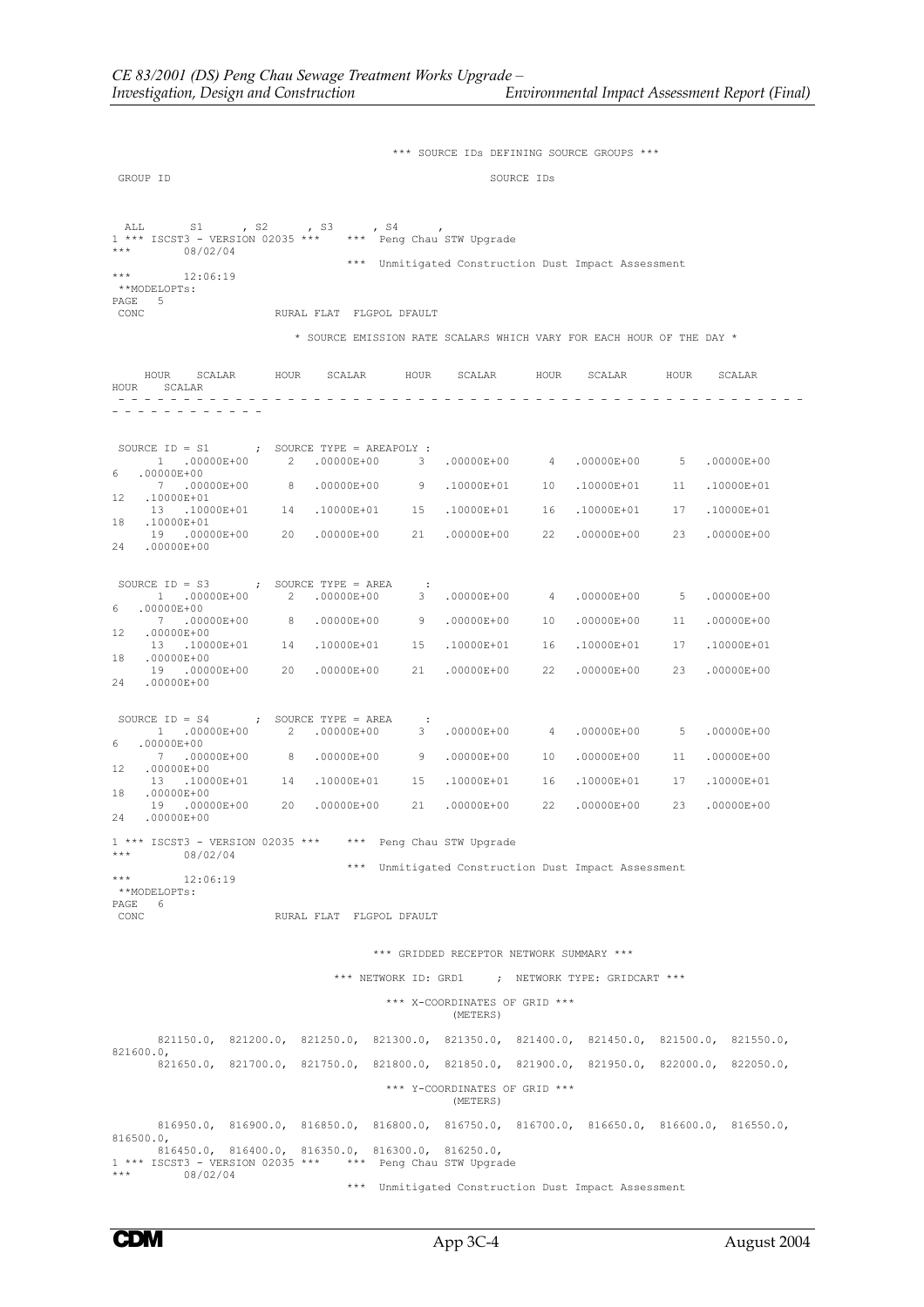\*\*\* SOURCE IDs DEFINING SOURCE GROUPS \*\*\* GROUP ID SOURCE IDS ALL S1 , S2 , S3 , S4 , 1 \*\*\* ISCST3 - VERSION 02035 \*\*\* \*\*\* Peng Chau STW Upgrade \*\*\* 08/02/04 \*\*\* Unmitigated Construction Dust Impact Assessment 12:06:19 \*\*MODELOPTs: PAGE 5<br>CONC RURAL FLAT FLGPOL DFAULT \* SOURCE EMISSION RATE SCALARS WHICH VARY FOR EACH HOUR OF THE DAY \* HOUR SCALAR HOUR SCALAR HOUR SCALAR HOUR SCALAR HOUR SCALAR HOUR SCALAR - - - - - - - - - - - - - - - - - - - - - - - - - - - - - - - - - - - - - - - - - - - - - - - - - - - - - - - - - - - - - - - - - SOURCE ID = S1 ; SOURCE TYPE = AREAPOLY : 1 .00000E+00 2 .00000E+00 3 .00000E+00 4 .00000E+00 5 .00000E+00  $6$  .00000E+00<br>7 .00000E+00 7 .00000E+00 8 .00000E+00 9 .10000E+01 10 .10000E+01 11 .10000E+01 12 .10000E+01<br>13 100 13 .10000E+01 14 .10000E+01 15 .10000E+01 16 .10000E+01 17 .10000E+01 10000E+01<br>19 .0000 19 .00000E+00 20 .00000E+00 21 .00000E+00 22 .00000E+00 23 .00000E+00 24 .00000E+00 SOURCE ID = S3 ; SOURCE TYPE = AREA : 1 .00000E+00 2 .00000E+00 3 .00000E+00 4 .00000E+00 5 .00000E+00 6  $.00000E+00$ <br>7  $.00000E+00$  7 .00000E+00 8 .00000E+00 9 .00000E+00 10 .00000E+00 11 .00000E+00 12 .00000E+00<br>
12 .10000E+01 14 .10000E+01 13 .10000E+01 14 .10000E+01 15 .10000E+01 16 .10000E+01 17 .10000E+01 .00000E+00 19 .00000E+00 20 .00000E+00 21 .00000E+00 22 .00000E+00 23 .00000E+00 24 .00000E+00 SOURCE ID = S4 ; SOURCE TYPE = AREA : 1 .00000E+00 2 .00000E+00 3 .00000E+00 4 .00000E+00 5 .00000E+00  $60000E+00$  7 .00000E+00 8 .00000E+00 9 .00000E+00 10 .00000E+00 11 .00000E+00  $13$  .10000E+01 14 .10000E+01 13 .10000E+01 14 .10000E+01 15 .10000E+01 16 .10000E+01 17 .10000E+01  $.00000E+00$ <br>19 .000  $190000E+00$  20  $0000E+00$  21  $00000E+00$  22  $0000E+00$  23  $00000E+00$ 24 .00000E+00 1 \*\*\* ISCST3 - VERSION 02035 \*\*\* \*\*\* Peng Chau STW Upgrade  $08/02/04$  \*\*\* Unmitigated Construction Dust Impact Assessment 12:06:19 \*\*MODELOPTs: PAGE 6<br>CONC RURAL FLAT FLGPOL DFAULT \*\*\* GRIDDED RECEPTOR NETWORK SUMMARY \*\*\* \*\*\* NETWORK ID: GRD1 ; NETWORK TYPE: GRIDCART \*\*\* \*\*\* X-COORDINATES OF GRID \*\*\* (METERS) 821150.0, 821200.0, 821250.0, 821300.0, 821350.0, 821400.0, 821450.0, 821500.0, 821550.0, 821600.0, 821650.0, 821700.0, 821750.0, 821800.0, 821850.0, 821900.0, 821950.0, 822000.0, 822050.0, \*\*\* Y-COORDINATES OF GRID \*\*\* (METERS) 816950.0, 816900.0, 816850.0, 816800.0, 816750.0, 816700.0, 816650.0, 816600.0, 816550.0, 816500.0, 816450.0, 816400.0, 816350.0, 816300.0, 816250.0, 1 \*\*\* ISCST3 - VERSION 02035 \*\*\* \*\*\* Peng Chau STW Upgrade \*\*\* 08/02/04 \*\*\* Unmitigated Construction Dust Impact Assessment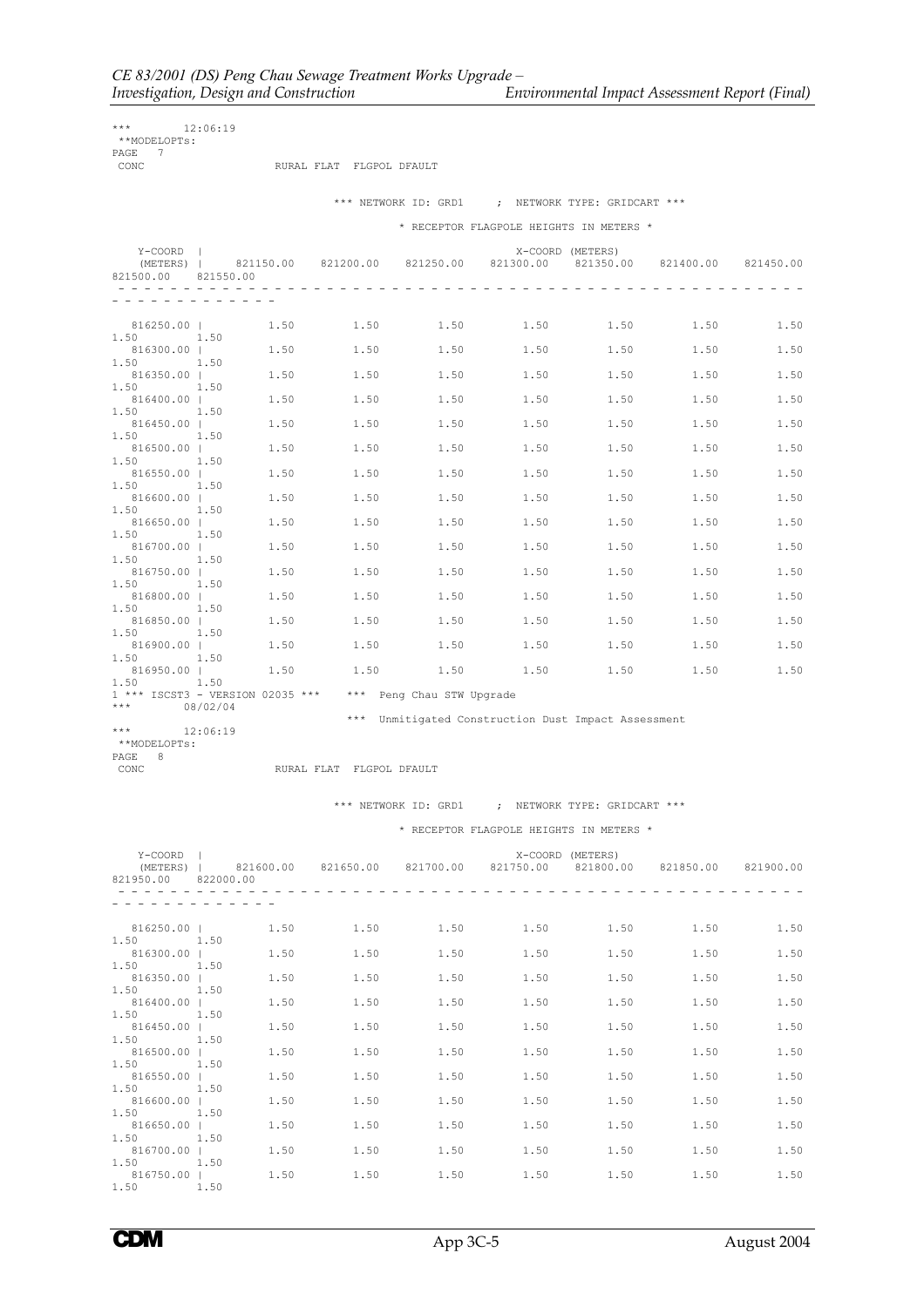*Environmental Impact Assessment Report (Final)* 

| ***   | 12:06:19     |  |                          |  |
|-------|--------------|--|--------------------------|--|
|       | **MODELOPTs: |  |                          |  |
| PAGE. |              |  |                          |  |
| CONC. |              |  | RURAL FLAT FLGPOL DFAULT |  |

|                                    |      |      |                                                             |      | *** NETWORK ID: GRD1 ; NETWORK TYPE: GRIDCART ***                                                    |               |      |      |
|------------------------------------|------|------|-------------------------------------------------------------|------|------------------------------------------------------------------------------------------------------|---------------|------|------|
|                                    |      |      |                                                             |      | * RECEPTOR FLAGPOLE HEIGHTS IN METERS *                                                              |               |      |      |
| Y-COORD  <br>821500.00 821550.00   |      |      |                                                             |      | X-COORD (METERS)<br>(METERS)   821150.00 821200.00 821250.00 821300.00 821350.00 821400.00 821450.00 |               |      |      |
| .                                  |      |      |                                                             |      |                                                                                                      |               |      |      |
| 1.50 1.50                          |      |      |                                                             |      | $816250.00$   $1.50$ $1.50$ $1.50$ $1.50$ $1.50$ $1.50$ $1.50$                                       |               |      | 1.50 |
| 816300.00  <br>1.50 1.50           |      | 1.50 | 1.50                                                        | 1.50 |                                                                                                      | 1.50 1.50     | 1.50 | 1.50 |
| 816350.00  <br>$1.50$ $1.50$       |      | 1.50 | 1.50                                                        | 1.50 | 1.50                                                                                                 | 1.50          | 1.50 | 1.50 |
| 816400.00  <br>1.50 1.50           |      | 1.50 | 1.50                                                        | 1.50 | 1.50                                                                                                 | 1.50          | 1.50 | 1.50 |
| 816450.00  <br>1.50 1.50           |      | 1.50 | 1.50                                                        | 1.50 | 1.50                                                                                                 | 1.50          | 1.50 | 1.50 |
| 816500.00  <br>1.50                | 1.50 | 1.50 | 1.50                                                        | 1.50 | 1.50                                                                                                 | 1.50          | 1.50 | 1.50 |
| 816550.00  <br>$1.50$ $1.50$       |      | 1.50 | 1.50                                                        | 1.50 |                                                                                                      | $1.50$ $1.50$ | 1.50 | 1.50 |
| 816600.00  <br>1.50 1.50           |      | 1.50 | 1.50                                                        | 1.50 | 1.50                                                                                                 | 1.50          | 1.50 | 1.50 |
| 816650.00  <br>1.50 1.50           |      | 1.50 | 1.50                                                        | 1.50 | 1.50                                                                                                 | 1.50          | 1.50 | 1.50 |
| 816700.00  <br>1.50 1.50           |      | 1.50 | 1.50                                                        | 1.50 | 1.50                                                                                                 | 1.50          | 1.50 | 1.50 |
| 816750.00  <br>1.50 1.50           |      | 1.50 | 1.50                                                        | 1.50 | 1.50                                                                                                 | 1.50          | 1.50 | 1.50 |
| 816800.00  <br>1.50                | 1.50 | 1.50 | 1.50                                                        | 1.50 |                                                                                                      | $1.50$ $1.50$ | 1.50 | 1.50 |
| 816850.00  <br>1.50 1.50           |      | 1.50 | 1.50                                                        | 1.50 |                                                                                                      | $1.50$ $1.50$ | 1.50 | 1.50 |
| 816900.00  <br>1.50 1.50           |      | 1.50 | 1.50                                                        | 1.50 |                                                                                                      | 1.50 1.50     | 1.50 | 1.50 |
| 816950.00   1.50 1.50<br>1.50 1.50 |      |      |                                                             |      | $1.50$ $1.50$ $1.50$ $1.50$ $1.50$                                                                   |               |      | 1.50 |
|                                    |      |      | $1***$ ISCST3 - VERSION 02035 *** *** Peng Chau STW Upgrade |      |                                                                                                      |               |      |      |

\*\*\*  $08/02/04$ 

\*\*\* Unmitigated Construction Dust Impact Assessment<br>12:06:19

\*\*\* 12:06:19 \*\*MODELOPTs: PAGE 8<br>CONC

RURAL FLAT FLGPOL DFAULT

\*\*\* NETWORK ID: GRD1 ; NETWORK TYPE: GRIDCART \*\*\*

\* RECEPTOR FLAGPOLE HEIGHTS IN METERS \*

| Y-COORD I<br>821950.00 822000.00   |      |      |      | X-COORD (METERS)<br>(METERS)   821600.00 821650.00 821700.00 821750.00 821800.00 821850.00 821900.00 |      |      |      |
|------------------------------------|------|------|------|------------------------------------------------------------------------------------------------------|------|------|------|
| <u>a a a a a a a a a a a a a a</u> |      |      |      |                                                                                                      |      |      |      |
| 816250.00  <br>1.50 1.50           | 1.50 | 1.50 | 1.50 | 1.50                                                                                                 | 1.50 | 1.50 | 1.50 |
| 816300.00  <br>$1.50$ $1.50$       | 1.50 | 1.50 | 1.50 | 1.50                                                                                                 | 1.50 | 1.50 | 1.50 |
| 816350.00  <br>1.50 1.50           | 1.50 | 1.50 | 1.50 | 1.50                                                                                                 | 1.50 | 1.50 | 1.50 |
| 816400.00  <br>1.50 1.50           | 1.50 | 1.50 | 1.50 | 1.50                                                                                                 | 1.50 | 1.50 | 1.50 |
| 816450.00  <br>1.50 1.50           | 1.50 | 1.50 | 1.50 | 1.50                                                                                                 | 1.50 | 1.50 | 1.50 |
| 816500.00  <br>1.50 1.50           | 1.50 | 1.50 | 1.50 | 1.50                                                                                                 | 1.50 | 1.50 | 1.50 |
| 816550.00  <br>1.50 1.50           | 1.50 | 1.50 | 1.50 | 1.50                                                                                                 | 1.50 | 1.50 | 1.50 |
| 816600.00  <br>1.50 1.50           | 1.50 | 1.50 | 1.50 | 1.50                                                                                                 | 1.50 | 1.50 | 1.50 |
| 816650.00  <br>1.50 1.50           | 1.50 | 1.50 | 1.50 | 1.50                                                                                                 | 1.50 | 1.50 | 1.50 |
| 816700.00  <br>1.50 1.50           | 1.50 | 1.50 | 1.50 | 1.50                                                                                                 | 1.50 | 1.50 | 1.50 |
| 816750.00  <br>1.50 1.50           | 1.50 | 1.50 | 1.50 | 1.50                                                                                                 | 1.50 | 1.50 | 1.50 |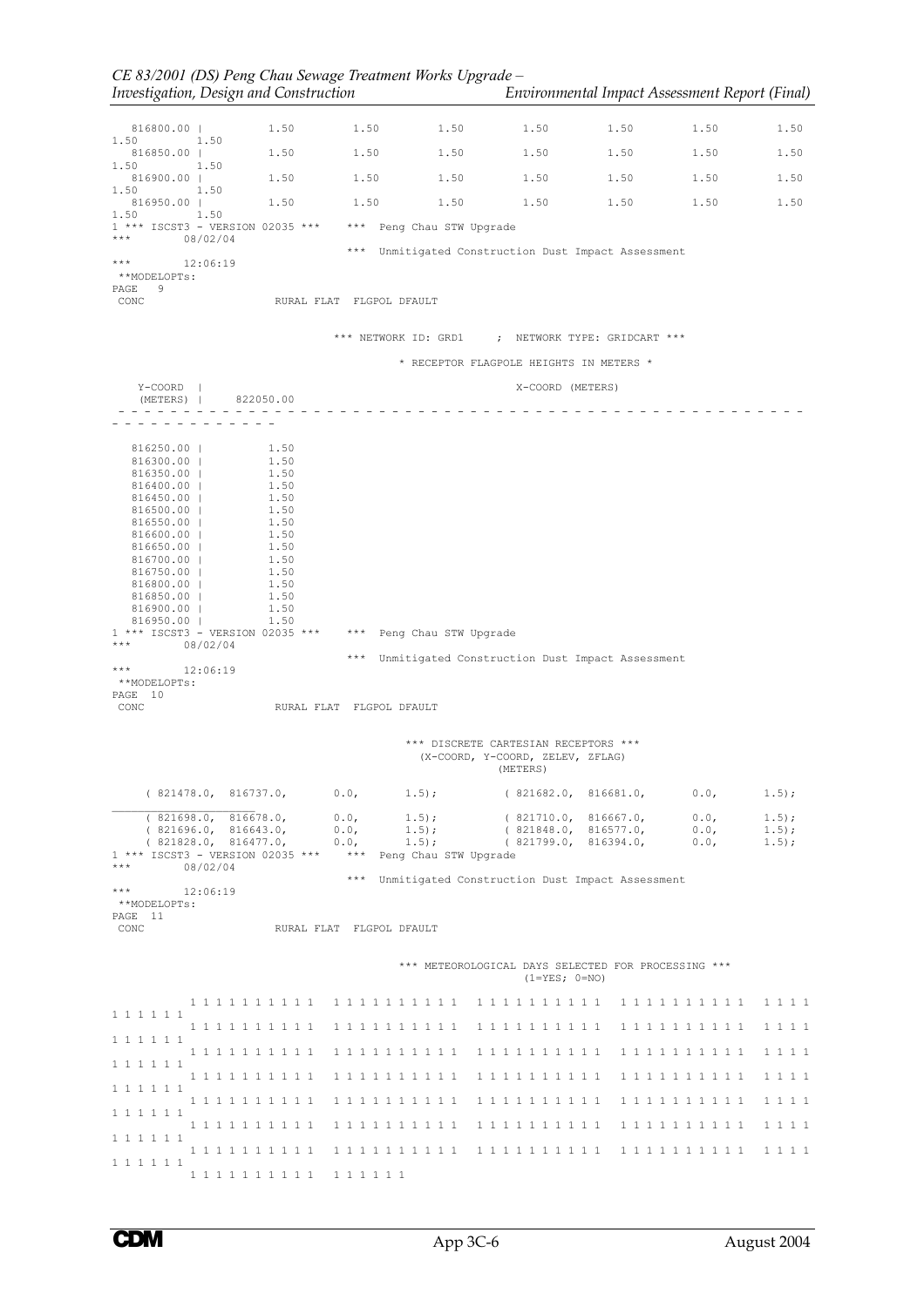|                                   | Investigation, Design and Construction                             |                            |                       |                                                                                      | Environmental Impact Assessment Report (Final) |                     |                      |
|-----------------------------------|--------------------------------------------------------------------|----------------------------|-----------------------|--------------------------------------------------------------------------------------|------------------------------------------------|---------------------|----------------------|
| 816800.00                         | 1.50                                                               | 1.50                       | 1.50                  | 1.50                                                                                 | 1.50                                           | 1.50                | 1.50                 |
| 1.50<br>1.50<br>816850.00         | 1.50                                                               | 1.50                       | 1.50                  | 1.50                                                                                 | 1.50                                           | 1.50                | 1.50                 |
| 1.50<br>816900.00                 | 1.50<br>1.50 1.50                                                  |                            | 1.50                  | 1.50                                                                                 | 1.50                                           | 1.50                | 1.50                 |
| 1.50<br>816950.00                 | 1.50<br>1.50 1.50                                                  |                            | 1.50                  | 1.50                                                                                 | 1.50                                           | 1.50                | 1.50                 |
| 1.50<br>1.50                      | 1 *** ISCST3 - VERSION 02035 *** *** Peng Chau STW Upgrade         |                            |                       |                                                                                      |                                                |                     |                      |
| $***$                             | 08/02/04                                                           |                            |                       |                                                                                      |                                                |                     |                      |
| ***<br>**MODELOPTs:               | 12:06:19                                                           |                            |                       | *** Unmitigated Construction Dust Impact Assessment                                  |                                                |                     |                      |
| PAGE<br>9<br>CONC                 |                                                                    | RURAL FLAT FLGPOL DFAULT   |                       |                                                                                      |                                                |                     |                      |
|                                   |                                                                    |                            |                       | *** NETWORK ID: GRD1 ; NETWORK TYPE: GRIDCART ***                                    |                                                |                     |                      |
|                                   |                                                                    |                            |                       | * RECEPTOR FLAGPOLE HEIGHTS IN METERS *                                              |                                                |                     |                      |
| $Y$ – $COORD$  <br>(METERS)       | 822050.00                                                          |                            |                       | X-COORD (METERS)                                                                     |                                                |                     |                      |
|                                   |                                                                    |                            |                       |                                                                                      |                                                |                     |                      |
| 816250.00                         | 1.50                                                               |                            |                       |                                                                                      |                                                |                     |                      |
| 816300.00  <br>816350.00          | 1.50<br>1.50                                                       |                            |                       |                                                                                      |                                                |                     |                      |
| 816400.00  <br>816450.00          | 1.50<br>1.50                                                       |                            |                       |                                                                                      |                                                |                     |                      |
| 816500.00  <br>$816550.00$        | 1.50<br>1.50                                                       |                            |                       |                                                                                      |                                                |                     |                      |
| $816600.00$                       | 1.50                                                               |                            |                       |                                                                                      |                                                |                     |                      |
| 816650.00  <br>816700.00          | 1.50<br>1.50                                                       |                            |                       |                                                                                      |                                                |                     |                      |
| 816750.00  <br>816800.00          | 1.50<br>1.50                                                       |                            |                       |                                                                                      |                                                |                     |                      |
| 816850.00  <br>816900.00          | 1.50<br>1.50                                                       |                            |                       |                                                                                      |                                                |                     |                      |
| $816950.00$                       | 1.50<br>1 *** ISCST3 - VERSION 02035 *** *** Peng Chau STW Upgrade |                            |                       |                                                                                      |                                                |                     |                      |
| $\star \star \star$               | 08/02/04                                                           |                            |                       |                                                                                      |                                                |                     |                      |
| ***                               | 12:06:19                                                           |                            |                       | *** Unmitigated Construction Dust Impact Assessment                                  |                                                |                     |                      |
| **MODELOPTs:<br>PAGE 10           |                                                                    |                            |                       |                                                                                      |                                                |                     |                      |
| CONC                              |                                                                    | RURAL FLAT FLGPOL DFAULT   |                       |                                                                                      |                                                |                     |                      |
|                                   |                                                                    |                            |                       | *** DISCRETE CARTESIAN RECEPTORS ***<br>(X-COORD, Y-COORD, ZELEV, ZFLAG)<br>(METERS) |                                                |                     |                      |
|                                   | (821478.0, 816737.0,                                               | 0.0,                       | $1.5)$ ;              | (821682.0, 816681.0,                                                                 |                                                | 0.0,                | $1.5$ ;              |
|                                   | (821698.0, 816678.0,                                               | 0.0,                       | $1.5$ ;               | (821710.0, 816667.0,                                                                 |                                                | 0.0,                | $1.5)$ ;             |
|                                   | (821696.0, 816643.0,<br>(821828.0, 816477.0,                       | 0.0,<br>0.0,               | $1.5$ ;<br>$1.5$ ;    | (821848.0, 816577.0,<br>(821799.0)                                                   | 816394.0,                                      | 0.0,<br>0.0,        | $1.5)$ ;<br>$1.5)$ ; |
| $\star\star\star$                 | 1 *** ISCST3 - VERSION 02035 ***<br>08/02/04                       | $\star\star\star$<br>$***$ | Peng Chau STW Upgrade | Unmitigated Construction Dust Impact Assessment                                      |                                                |                     |                      |
| $\star\star\star$<br>**MODELOPTs: | 12:06:19                                                           |                            |                       |                                                                                      |                                                |                     |                      |
| PAGE 11<br>CONC                   |                                                                    | RURAL FLAT FLGPOL DFAULT   |                       |                                                                                      |                                                |                     |                      |
|                                   |                                                                    |                            |                       | *** METEOROLOGICAL DAYS SELECTED FOR PROCESSING ***                                  |                                                |                     |                      |
|                                   |                                                                    |                            |                       | $(1 = YES; 0 = NO)$                                                                  |                                                |                     |                      |
| 1 1 1 1 1 1                       | 1 1 1 1 1 1 1 1 1 1                                                | 1 1 1 1 1 1 1 1 1 1        |                       | 1 1 1 1 1 1 1 1 1 1                                                                  |                                                | 1 1 1 1 1 1 1 1 1 1 | 1 1 1 1              |
| 1 1 1 1 1 1                       | 1 1 1 1 1 1 1 1 1 1                                                | 1 1 1 1 1 1 1 1 1 1        |                       | 1 1 1 1 1 1 1 1 1 1                                                                  |                                                | 1 1 1 1 1 1 1 1 1 1 | 1 1 1 1              |
| 1 1 1 1 1 1                       | 1 1 1 1 1 1 1 1 1 1                                                | 1 1 1 1 1 1 1 1 1 1        |                       | 1 1 1 1 1 1 1 1 1 1                                                                  |                                                | 1 1 1 1 1 1 1 1 1 1 | 1 1 1 1              |
|                                   | 1 1 1 1 1 1 1 1 1 1                                                | 1 1 1 1 1 1 1 1 1 1        |                       | 1 1 1 1 1 1 1 1 1 1                                                                  |                                                | 1 1 1 1 1 1 1 1 1 1 | 1 1 1 1              |
| 1 1 1 1 1 1                       | 1 1 1 1 1 1 1 1 1 1                                                | 1 1 1 1 1 1 1 1 1 1        |                       | 1 1 1 1 1 1 1 1 1 1                                                                  |                                                | 1 1 1 1 1 1 1 1 1 1 | 1 1 1 1              |
| 1 1 1 1 1 1                       | 1 1 1 1 1 1 1 1 1 1                                                | 1 1 1 1 1 1 1 1 1 1        |                       | 1 1 1 1 1 1 1 1 1 1                                                                  |                                                | 1 1 1 1 1 1 1 1 1 1 | 1 1 1 1              |
| 1 1 1 1 1 1                       | 1 1 1 1 1 1 1 1 1 1                                                | 1 1 1 1 1 1 1 1 1 1        |                       | 1 1 1 1 1 1 1 1 1 1                                                                  |                                                | 1 1 1 1 1 1 1 1 1 1 | 1 1 1 1              |
| 1 1 1 1 1 1                       | 1 1 1 1 1 1 1 1 1 1                                                | 1 1 1 1 1 1                |                       |                                                                                      |                                                |                     |                      |

*CE 83/2001 (DS) Peng Chau Sewage Treatment Works Upgrade –*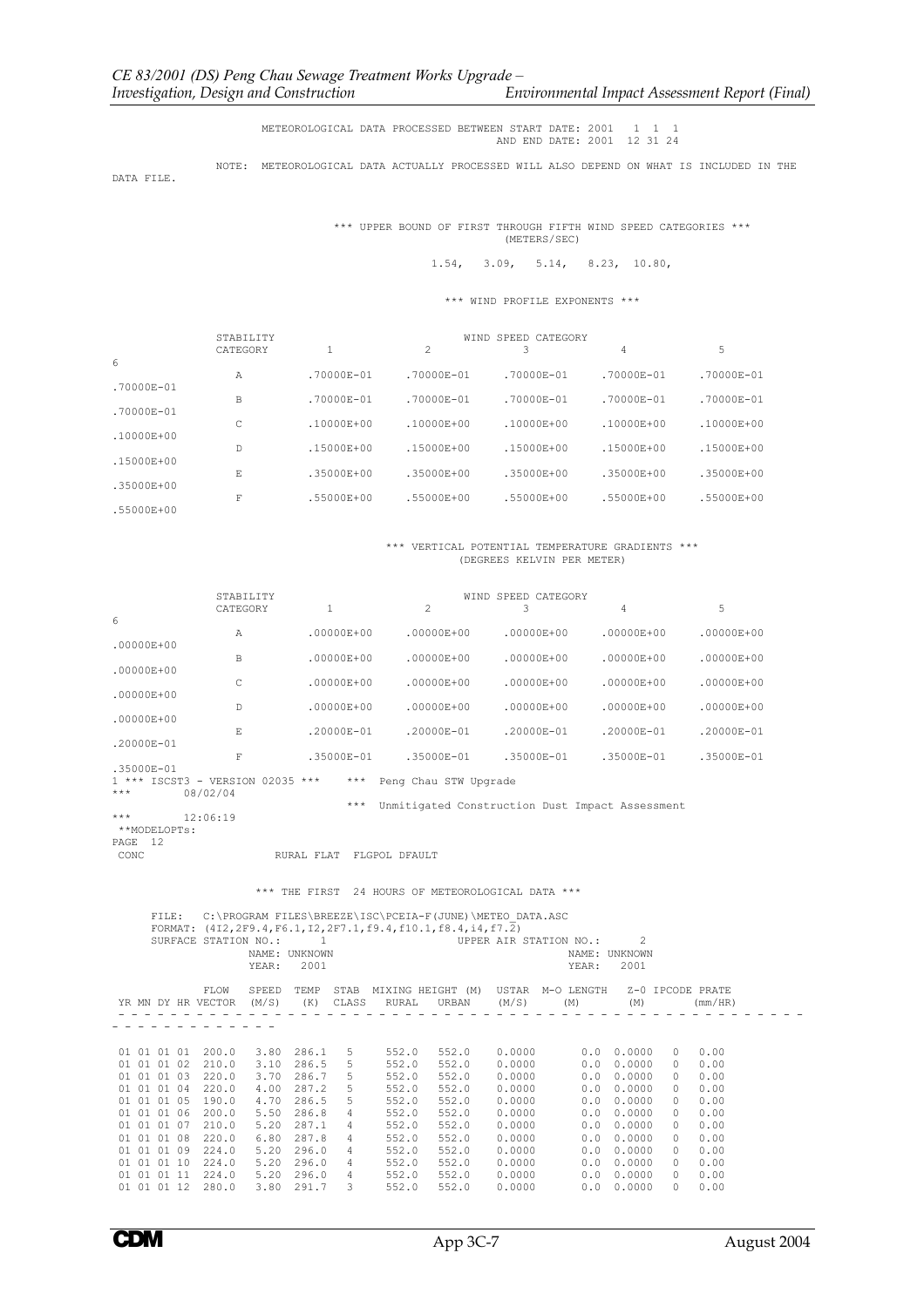## METEOROLOGICAL DATA PROCESSED BETWEEN START DATE: 2001 1 1 1 AND END DATE: 2001 12 31 24

NOTE: METEOROLOGICAL DATA ACTUALLY PROCESSED WILL ALSO DEPEND ON WHAT IS INCLUDED IN THE

DATA FILE.

 \*\*\* UPPER BOUND OF FIRST THROUGH FIFTH WIND SPEED CATEGORIES \*\*\* (METERS/SEC)

1.54, 3.09, 5.14, 8.23, 10.80,

\*\*\* WIND PROFILE EXPONENTS \*\*\*

|                     | STABILITY |                |                | WIND SPEED CATEGORY |                |                |
|---------------------|-----------|----------------|----------------|---------------------|----------------|----------------|
|                     | CATEGORY  |                | 2              |                     | 4              | 5              |
| 6<br>$.70000E - 01$ | A         | $.70000E - 01$ | $.70000E - 01$ | $.70000E - 01$      | $.70000E - 01$ | $.70000E - 01$ |
| $.70000E - 01$      | B         | .70000E-01     | $.70000E - 01$ | $.70000E - 01$      | $.70000E - 01$ | $.70000E - 01$ |
| .10000E+00          | C         | $.10000E + 00$ | $.10000E + 00$ | $.10000E + 00$      | $.10000E + 00$ | $.10000E + 00$ |
| $.15000E + 00$      | D         | $.15000E + 00$ | $.15000E + 00$ | $.15000E + 00$      | $.15000E + 00$ | $.15000E + 00$ |
| $.35000E + 00$      | E         | $.35000E + 00$ | $.35000E + 00$ | $.35000E + 00$      | $.35000E + 00$ | .35000E+00     |
| .55000E+00          | F         | .55000E+00     | $.55000E + 00$ | $.55000E + 00$      | $.55000E + 00$ | .55000E+00     |

## \*\*\* VERTICAL POTENTIAL TEMPERATURE GRADIENTS \*\*\* (DEGREES KELVIN PER METER)

|                     | STABILITY                    |                |                       | WIND SPEED CATEGORY |                |                |
|---------------------|------------------------------|----------------|-----------------------|---------------------|----------------|----------------|
|                     | CATEGORY                     | 1              | 2                     |                     | 4              | 5              |
| 6<br>$.00000E + 00$ | Α                            | $.00000E + 00$ | $.00000E + 00$        | $.00000E + 00$      | $.00000E + 00$ | $.00000E + 00$ |
| $.00000E + 00$      | B                            | $.00000E + 00$ | $.00000E + 00$        | $.00000E + 00$      | $.00000E + 00$ | $.00000E + 00$ |
| $.00000E + 00$      | C                            | .00000E+00     | $.00000E + 00$        | $.00000E + 00$      | $.00000E + 00$ | $.00000E + 00$ |
| $.00000E + 00$      | D                            | .00000E+00     | $.00000E + 00$        | $.00000E + 00$      | $.00000E + 00$ | $.00000E + 00$ |
| .20000E-01          | E                            | $.20000E - 01$ | $.20000E - 01$        | $.20000E - 01$      | $.20000E - 01$ | $.20000E - 01$ |
| .35000E-01          | F                            | $.35000E - 01$ | $.35000E - 01$        | $.35000E - 01$      | $.35000E - 01$ | $.35000E - 01$ |
| *** ISCST3          | VERSION 02035 $***$<br>$ \,$ | ***            | Peng Chau STW Upgrade |                     |                |                |

1 \*\*\* ISCST3 - VERSION 02035 \*\*\* \*\*\* Peng Chau STW Upgrade \*\*\* 08/02/04

\*\*\* Unmitigated Construction Dust Impact Assessment<br>\*\*\* 12:06:19

\*\*\* 12:06:19 \*\*MODELOPTs:

PAGE 12<br>CONC RURAL FLAT FLGPOL DFAULT

\*\*\* THE FIRST 24 HOURS OF METEOROLOGICAL DATA \*\*\*

FILE: C:\PROGRAM FILES\BREEZE\ISC\PCEIA-F(JUNE)\METEO\_DATA.ASC<br>FORMAT: (4I2,2F9.4,F6.1,I2,2F7.1,f9.4,f10.1,f8.4,i4,f7.2) SURFACE STATION NO.: 1 UPPER AIR STATION NO.: 1 NAME: UNKNOWN NAME: UNKNOWN<br>YEAR: 2001 YEAR: 2001 YEAR: 2001 FLOW SPEED TEMP STAB MIXING HEIGHT (M) USTAR M-O LENGTH Z-0 IPCODE PRATE YR MN DY HR VECTOR (M/S) (K) CLASS RURAL URBAN (M/S) (M) (M) (mm/HR) - - - - - - - - - - - - - - - - - - - - - - - - - - - - - - - - - - - - - - - - - - - - - - - - - - - - - - - - - - - - - - - - - -  $\begin{array}{cccccccccccc} 01& 01& 01& 01& 200\,, 0& 3, 80& 286\,, 1& 5& 552\,, 0& 552\,, 0& 0.0000& 0& 0.00000& 0& 0.0000\\ 01& 01& 01& 02& 210\,, 0& 3, 10& 286\,, 5& 552\,, 0& 552\,, 0& 0.0000& 0& 0.00000& 0& 0.0000\\ 01& 01& 01& 04& 220\,, 0& 4\$ 

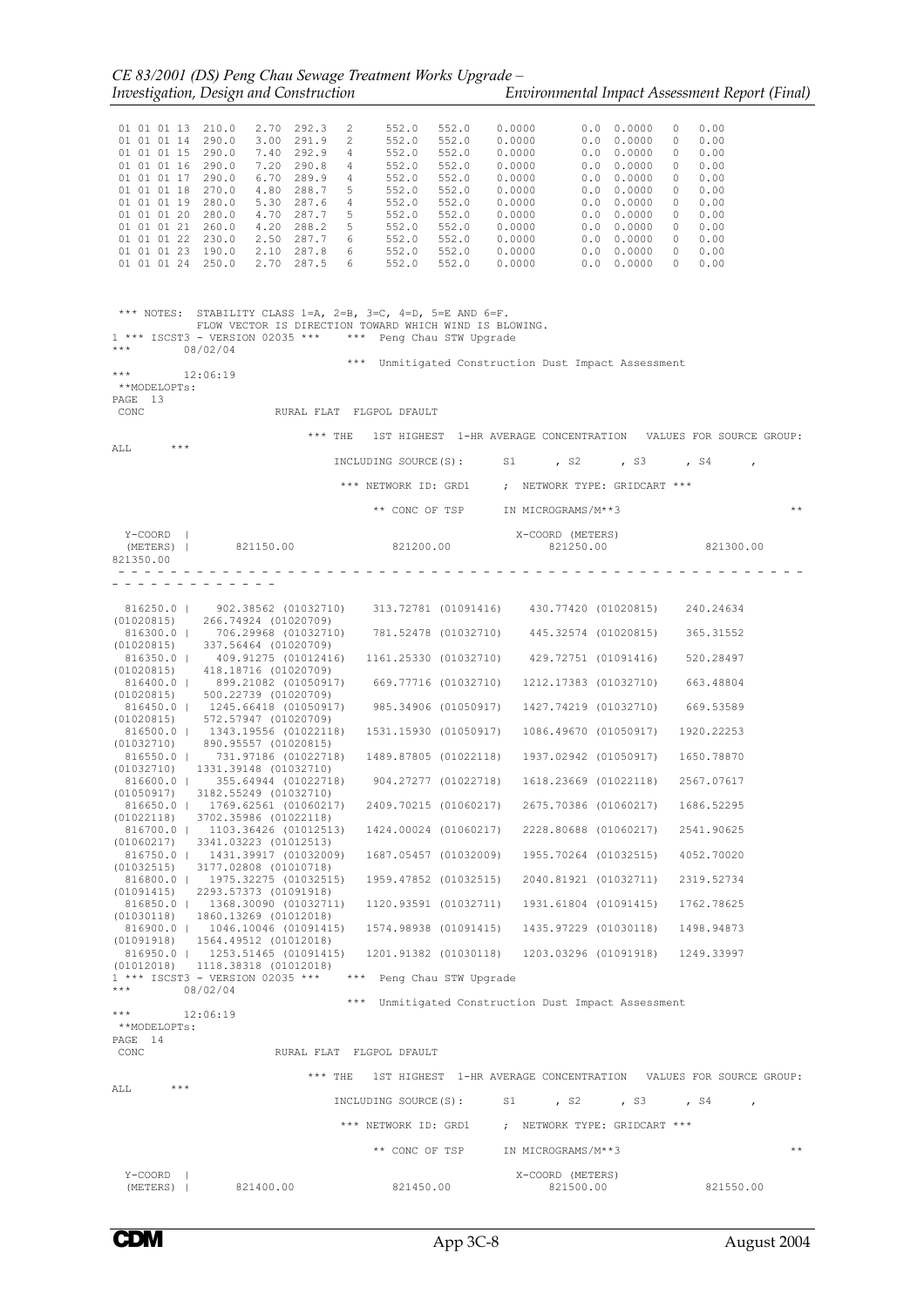| 01 01 01 13 210.0<br>01 01 01 14 290.0<br>01 01 01 15 290.0<br>01 01 01 16 290.0<br>01 01 01 17 290.0<br>01 01 01 18 270.0<br>01 01 01 19 280.0<br>01 01 01 20 280.0<br>01 01 01 21 260.0<br>01 01 01 22 230.0<br>01 01 01 23 190.0<br>01 01 01 24 250.0 | 2.70 292.3<br>3.00 291.9<br>7.40 292.9<br>7.20 290.8<br>6.70 289.9<br>4.80 288.7<br>5.30 287.6<br>4.70 287.7<br>4.20 288.2<br>2.50 287.7 6<br>2.10 287.8 6<br>2.70 287.5 6                      | 2<br>2<br>4<br>4<br>4<br>5<br>4<br>5<br>$-5$ | 552.0<br>552.0<br>552.0<br>552.0<br>552.0<br>552.0<br>552.0<br>552.0<br>552.0<br>552.0<br>552.0<br>552.0 | 552.0<br>552.0<br>552.0<br>552.0<br>552.0<br>552.0<br>552.0<br>552.0<br>552.0<br>552.0<br>552.0<br>552.0 | 0.0000<br>0.0000<br>0.0000<br>0.0000<br>0.0000<br>0.0000<br>0.0000<br>0.0000<br>0.0000<br>0.0000<br>0.0000<br>0.0000 | 0.0       | $0.0 \t 0.0000$<br>$0.0 \quad 0.0000$<br>$0.0 \quad 0.0000$<br>$0.0 \t 0.0000$<br>$0.0 \t 0.0000$<br>0.0000<br>$0.0 \t 0.0000$<br>0.0 0.0000<br>$0.0 \t 0.0000$<br>$0.0 \quad 0.0000$<br>$0.0 \quad 0.0000$<br>$0.0 \quad 0.0000$ | $\circ$<br>$\circ$<br>$\circ$<br>$\circ$<br>$\circ$<br>$\circ$<br>$\overline{0}$<br>$\circ$<br>$\circ$<br>$\circ$<br>$\circ$<br>$\circ$ | 0.00<br>0.00<br>0.00<br>0.00<br>0.00<br>0.00<br>0.00<br>0.00<br>0.00<br>0.00<br>0.00<br>0.00 |       |
|----------------------------------------------------------------------------------------------------------------------------------------------------------------------------------------------------------------------------------------------------------|-------------------------------------------------------------------------------------------------------------------------------------------------------------------------------------------------|----------------------------------------------|----------------------------------------------------------------------------------------------------------|----------------------------------------------------------------------------------------------------------|----------------------------------------------------------------------------------------------------------------------|-----------|-----------------------------------------------------------------------------------------------------------------------------------------------------------------------------------------------------------------------------------|-----------------------------------------------------------------------------------------------------------------------------------------|----------------------------------------------------------------------------------------------|-------|
| ***                                                                                                                                                                                                                                                      | *** NOTES: STABILITY CLASS 1=A, 2=B, 3=C, 4=D, 5=E AND 6=F.<br>FLOW VECTOR IS DIRECTION TOWARD WHICH WIND IS BLOWING.<br>1 *** ISCST3 - VERSION 02035 *** *** Peng Chau STW Upgrade<br>08/02/04 |                                              |                                                                                                          |                                                                                                          | *** Unmitigated Construction Dust Impact Assessment                                                                  |           |                                                                                                                                                                                                                                   |                                                                                                                                         |                                                                                              |       |
| $\star \star \star$<br>**MODELOPTs:<br>PAGE 13                                                                                                                                                                                                           | 12:06:19                                                                                                                                                                                        |                                              |                                                                                                          |                                                                                                          |                                                                                                                      |           |                                                                                                                                                                                                                                   |                                                                                                                                         |                                                                                              |       |
| CONC                                                                                                                                                                                                                                                     | RURAL FLAT FLGPOL DFAULT                                                                                                                                                                        |                                              |                                                                                                          |                                                                                                          |                                                                                                                      |           |                                                                                                                                                                                                                                   |                                                                                                                                         |                                                                                              |       |
| $***$<br>ALL                                                                                                                                                                                                                                             |                                                                                                                                                                                                 |                                              |                                                                                                          |                                                                                                          | *** THE 1ST HIGHEST 1-HR AVERAGE CONCENTRATION VALUES FOR SOURCE GROUP:                                              |           |                                                                                                                                                                                                                                   |                                                                                                                                         |                                                                                              |       |
|                                                                                                                                                                                                                                                          |                                                                                                                                                                                                 |                                              |                                                                                                          |                                                                                                          | INCLUDING SOURCE(S): S1, S2, S3, S4,                                                                                 |           |                                                                                                                                                                                                                                   |                                                                                                                                         |                                                                                              |       |
|                                                                                                                                                                                                                                                          |                                                                                                                                                                                                 |                                              |                                                                                                          |                                                                                                          | *** NETWORK ID: GRD1 ; NETWORK TYPE: GRIDCART ***                                                                    |           |                                                                                                                                                                                                                                   |                                                                                                                                         |                                                                                              |       |
|                                                                                                                                                                                                                                                          |                                                                                                                                                                                                 |                                              |                                                                                                          |                                                                                                          | ** CONC OF TSP IN MICROGRAMS/M**3                                                                                    |           |                                                                                                                                                                                                                                   |                                                                                                                                         |                                                                                              | $* *$ |
| Y-COORD  <br>(METERS)  <br>821350.00                                                                                                                                                                                                                     | 821150.00 821200.00                                                                                                                                                                             |                                              |                                                                                                          |                                                                                                          | X-COORD (METERS)                                                                                                     |           |                                                                                                                                                                                                                                   |                                                                                                                                         | 821250.00 821300.00                                                                          |       |
|                                                                                                                                                                                                                                                          |                                                                                                                                                                                                 |                                              |                                                                                                          |                                                                                                          |                                                                                                                      |           |                                                                                                                                                                                                                                   |                                                                                                                                         |                                                                                              |       |
|                                                                                                                                                                                                                                                          | 816250.0   902.38562 (01032710) 313.72781 (01091416) 430.77420 (01020815) 240.24634                                                                                                             |                                              |                                                                                                          |                                                                                                          |                                                                                                                      |           |                                                                                                                                                                                                                                   |                                                                                                                                         |                                                                                              |       |
|                                                                                                                                                                                                                                                          | $(01020815)$ 266.74924 (01020709)<br>$816300.0$   $706.29968$ (01032710) $781.52478$ (01032710) $445.32574$ (01020815)<br>(01020815) 337.56464 (01020709)                                       |                                              |                                                                                                          |                                                                                                          |                                                                                                                      |           |                                                                                                                                                                                                                                   |                                                                                                                                         | 365.31552                                                                                    |       |
|                                                                                                                                                                                                                                                          | 816350.0   409.91275 (01012416)                                                                                                                                                                 |                                              |                                                                                                          |                                                                                                          | 1161.25330 (01032710) 429.72751 (01091416)                                                                           |           |                                                                                                                                                                                                                                   |                                                                                                                                         | 520.28497                                                                                    |       |
|                                                                                                                                                                                                                                                          | $(01020815)$ 418.18716 (01020709)<br>816400.0   899.21082 (01050917) 669.77716 (01032710) 1212.17383 (01032710)                                                                                 |                                              |                                                                                                          |                                                                                                          |                                                                                                                      |           |                                                                                                                                                                                                                                   |                                                                                                                                         | 663.48804                                                                                    |       |
|                                                                                                                                                                                                                                                          | $(01020815)$ 500.22739 (01020709)<br>816450.0   1245.66418 (01050917) 985.34906 (01050917) 1427.74219 (01032710) 669.53589                                                                      |                                              |                                                                                                          |                                                                                                          |                                                                                                                      |           |                                                                                                                                                                                                                                   |                                                                                                                                         |                                                                                              |       |
|                                                                                                                                                                                                                                                          | $(01020815)$ 572.57947 (01020709)<br>816500.0   1343.19556 (01022118)                                                                                                                           |                                              |                                                                                                          | 1531.15930 (01050917)                                                                                    |                                                                                                                      |           | 1086.49670 (01050917)                                                                                                                                                                                                             |                                                                                                                                         | 1920.22253                                                                                   |       |
|                                                                                                                                                                                                                                                          | $(01032710)$ 890.95557 (01020815)<br>816550.0   731.97186 (01022718)                                                                                                                            |                                              |                                                                                                          | 1489.87805 (01022118)                                                                                    |                                                                                                                      |           | 1937.02942 (01050917) 1650.78870                                                                                                                                                                                                  |                                                                                                                                         |                                                                                              |       |
|                                                                                                                                                                                                                                                          | $(01032710)$ 1331.39148 (01032710)<br>816600.0   355.64944 (01022718) 904.27277 (01022718)                                                                                                      |                                              |                                                                                                          |                                                                                                          |                                                                                                                      |           | 1618.23669 (01022118) 2567.07617                                                                                                                                                                                                  |                                                                                                                                         |                                                                                              |       |
|                                                                                                                                                                                                                                                          | $(01050917)$ 3182.55249 (01032710)<br>816650.0   1769.62561 (01060217)                                                                                                                          |                                              |                                                                                                          | 2409.70215 (01060217)                                                                                    |                                                                                                                      |           | 2675.70386 (01060217)                                                                                                                                                                                                             |                                                                                                                                         | 1686.52295                                                                                   |       |
| (01022118)<br>816700.0                                                                                                                                                                                                                                   | 3702.35986 (01022118)<br>1103.36426 (01012513)                                                                                                                                                  |                                              |                                                                                                          | 1424.00024 (01060217)                                                                                    |                                                                                                                      |           | 2228.80688 (01060217)                                                                                                                                                                                                             |                                                                                                                                         | 2541.90625                                                                                   |       |
| (01060217)                                                                                                                                                                                                                                               | 3341.03223 (01012513)<br>816750.0   1431.39917 (01032009)                                                                                                                                       |                                              |                                                                                                          | 1687.05457 (01032009)                                                                                    |                                                                                                                      |           | 1955.70264 (01032515)                                                                                                                                                                                                             |                                                                                                                                         | 4052.70020                                                                                   |       |
|                                                                                                                                                                                                                                                          | $(01032515)$ 3177,02808 (01010718)<br>816800.0   1975.32275 (01032515)                                                                                                                          |                                              |                                                                                                          | 1959.47852 (01032515)                                                                                    |                                                                                                                      |           | 2040.81921 (01032711)                                                                                                                                                                                                             |                                                                                                                                         | 2319.52734                                                                                   |       |
|                                                                                                                                                                                                                                                          | $(01091415)$ 2293.57373 (01091918)<br>816850.0   1368.30090 (01032711)                                                                                                                          |                                              |                                                                                                          | 1120.93591 (01032711)                                                                                    |                                                                                                                      |           | 1931.61804 (01091415)                                                                                                                                                                                                             |                                                                                                                                         | 1762.78625                                                                                   |       |
|                                                                                                                                                                                                                                                          | $(01030118)$ 1860.13269 (01012018)                                                                                                                                                              |                                              |                                                                                                          | 1574.98938 (01091415)                                                                                    |                                                                                                                      |           | 1435.97229 (01030118)                                                                                                                                                                                                             |                                                                                                                                         |                                                                                              |       |
|                                                                                                                                                                                                                                                          | 816900.0   1046.10046 (01091415)<br>$(01091918)$ 1564.49512 (01012018)                                                                                                                          |                                              |                                                                                                          |                                                                                                          |                                                                                                                      |           |                                                                                                                                                                                                                                   |                                                                                                                                         | 1498.94873                                                                                   |       |
|                                                                                                                                                                                                                                                          | 816950.0   1253.51465 (01091415)<br>$(01012018)$ 1118.38318 $(01012018)$                                                                                                                        |                                              |                                                                                                          |                                                                                                          | 1201.91382 (01030118) 1203.03296 (01091918) 1249.33997                                                               |           |                                                                                                                                                                                                                                   |                                                                                                                                         |                                                                                              |       |
| $***$                                                                                                                                                                                                                                                    | 1 *** ISCST3 - VERSION 02035 ***<br>08/02/04                                                                                                                                                    |                                              |                                                                                                          | *** Peng Chau STW Upgrade                                                                                |                                                                                                                      |           |                                                                                                                                                                                                                                   |                                                                                                                                         |                                                                                              |       |
| ***                                                                                                                                                                                                                                                      | 12:06:19                                                                                                                                                                                        |                                              |                                                                                                          |                                                                                                          | *** Unmitigated Construction Dust Impact Assessment                                                                  |           |                                                                                                                                                                                                                                   |                                                                                                                                         |                                                                                              |       |
| **MODELOPTs:<br>PAGE 14<br>CONC                                                                                                                                                                                                                          |                                                                                                                                                                                                 | RURAL FLAT FLGPOL DFAULT                     |                                                                                                          |                                                                                                          |                                                                                                                      |           |                                                                                                                                                                                                                                   |                                                                                                                                         |                                                                                              |       |
|                                                                                                                                                                                                                                                          |                                                                                                                                                                                                 | $***$ THE                                    |                                                                                                          |                                                                                                          | 1ST HIGHEST 1-HR AVERAGE CONCENTRATION VALUES FOR SOURCE GROUP:                                                      |           |                                                                                                                                                                                                                                   |                                                                                                                                         |                                                                                              |       |
| $\star\star\star$<br>ALL                                                                                                                                                                                                                                 |                                                                                                                                                                                                 |                                              |                                                                                                          | INCLUDING SOURCE (S) :                                                                                   | S1                                                                                                                   |           | , s2, , s3, , s4                                                                                                                                                                                                                  |                                                                                                                                         |                                                                                              |       |
|                                                                                                                                                                                                                                                          |                                                                                                                                                                                                 |                                              |                                                                                                          | *** NETWORK ID: GRD1                                                                                     | ; NETWORK TYPE: GRIDCART ***                                                                                         |           |                                                                                                                                                                                                                                   |                                                                                                                                         |                                                                                              |       |
|                                                                                                                                                                                                                                                          |                                                                                                                                                                                                 |                                              |                                                                                                          | ** CONC OF TSP                                                                                           | IN MICROGRAMS/M**3                                                                                                   |           |                                                                                                                                                                                                                                   |                                                                                                                                         |                                                                                              | $* *$ |
| $Y$ – $COORD$  <br>(METERS)                                                                                                                                                                                                                              | 821400.00                                                                                                                                                                                       |                                              | 821450.00                                                                                                |                                                                                                          | X-COORD (METERS)                                                                                                     | 821500.00 |                                                                                                                                                                                                                                   |                                                                                                                                         | 821550.00                                                                                    |       |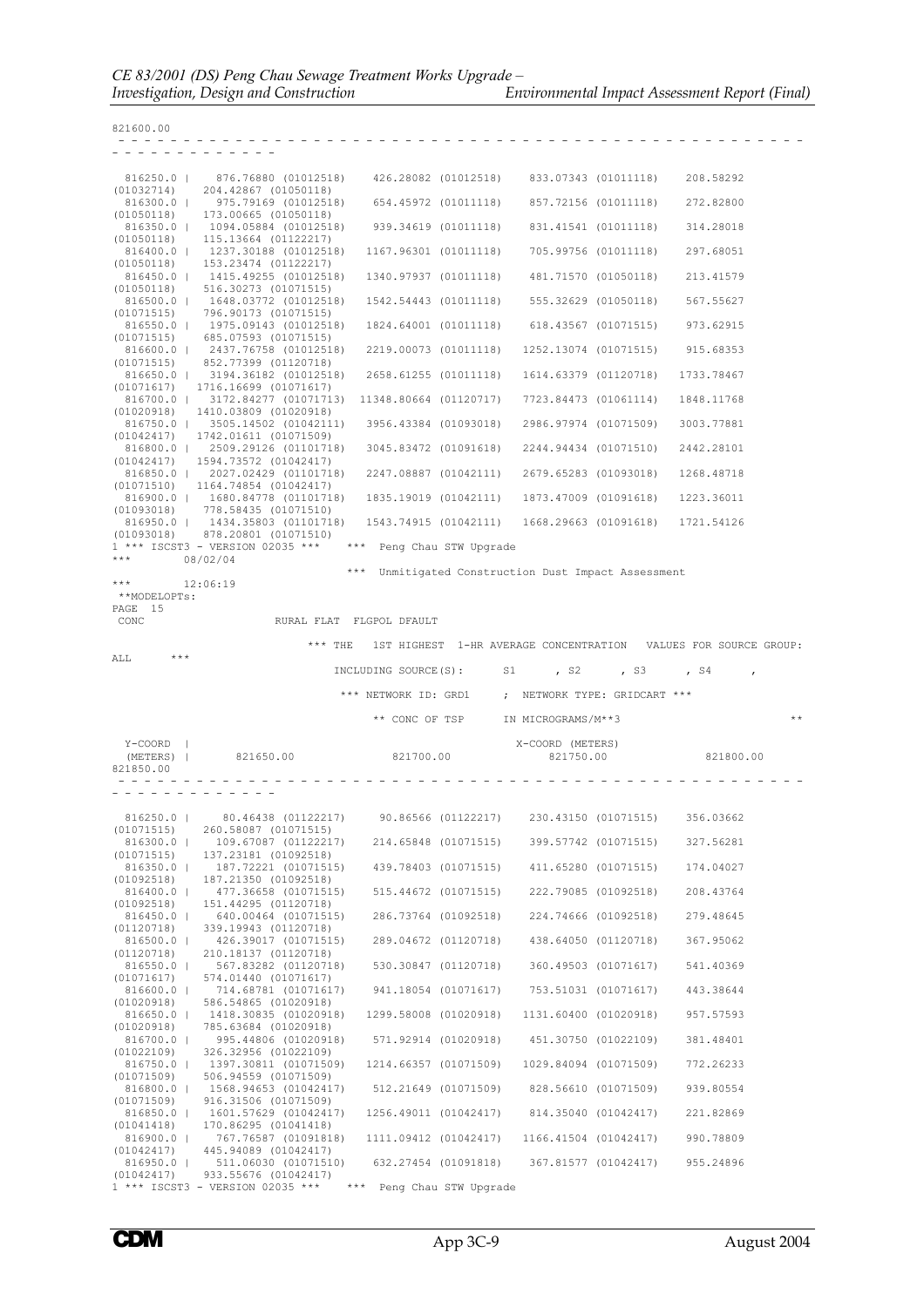| $816250.0$  <br>(01032714) | 876.76880 (01012518)<br>204.42867 (01050118)                                     | 426.28082 (01012518)                                            | 833.07343 (01011118)          |                      | 208.58292  |       |
|----------------------------|----------------------------------------------------------------------------------|-----------------------------------------------------------------|-------------------------------|----------------------|------------|-------|
| 816300.0                   | 975.79169 (01012518)                                                             | 654.45972 (01011118)                                            |                               | 857.72156 (01011118) | 272.82800  |       |
| (01050118)                 | 173.00665 (01050118)<br>816350.0   1094.05884 (01012518)                         | 939.34619 (01011118)                                            |                               | 831,41541 (01011118) | 314.28018  |       |
| (01050118)                 | 115.13664 (01122217)<br>816400.0   1237.30188 (01012518)                         | 1167.96301 (01011118)                                           |                               | 705.99756 (01011118) | 297.68051  |       |
| (01050118)                 | 153.23474 (01122217)                                                             |                                                                 |                               |                      |            |       |
| (01050118)                 | 816450.0   1415.49255 (01012518)<br>516.30273 (01071515)                         | 1340.97937 (01011118)                                           |                               | 481.71570 (01050118) | 213.41579  |       |
|                            | 816500.0   1648.03772 (01012518)                                                 | 1542.54443 (01011118)                                           |                               | 555.32629 (01050118) | 567.55627  |       |
| (01071515)                 | 796.90173 (01071515)<br>816550.0   1975.09143 (01012518)                         | 1824.64001 (01011118)                                           |                               | 618.43567 (01071515) | 973.62915  |       |
| (01071515)                 | 685.07593 (01071515)<br>816600.0   2437.76758 (01012518)                         | 2219.00073 (01011118)                                           | 1252.13074 (01071515)         |                      | 915.68353  |       |
| (01071515)                 | 852.77399 (01120718)                                                             |                                                                 |                               |                      |            |       |
| (01071617)                 | 816650.0   3194.36182 (01012518)<br>1716.16699 (01071617)                        | 2658.61255 (01011118)                                           | 1614.63379 (01120718)         |                      | 1733.78467 |       |
|                            | 816700.0   3172.84277 (01071713)                                                 | 11348.80664 (01120717)                                          | 7723.84473 (01061114)         |                      | 1848.11768 |       |
|                            | $(01020918)$ 1410.03809 (01020918)<br>816750.0   3505.14502 (01042111)           | 3956.43384 (01093018)                                           | 2986.97974 (01071509)         |                      | 3003.77881 |       |
|                            | $(01042417)$ 1742,01611 (01071509)<br>816800.0   2509.29126 (01101718)           | 3045.83472 (01091618)                                           | 2244.94434 (01071510)         |                      | 2442.28101 |       |
|                            | $(01042417)$ 1594.73572 (01042417)                                               |                                                                 |                               |                      |            |       |
|                            | 816850.0   2027.02429 (01101718)<br>$(01071510)$ 1164.74854 (01042417)           | 2247.08887 (01042111)                                           | 2679.65283 (01093018)         |                      | 1268.48718 |       |
|                            | 816900.0   1680.84778 (01101718)                                                 | 1835.19019 (01042111)                                           | 1873.47009 (01091618)         |                      | 1223.36011 |       |
| (01093018)                 | 778.58435 (01071510)<br>816950.0   1434.35803 (01101718)                         | 1543.74915 (01042111)                                           | 1668.29663 (01091618)         |                      | 1721.54126 |       |
| (01093018)                 | 878.20801 (01071510)<br>1 *** ISCST3 - VERSION 02035 ***                         | *** Peng Chau STW Upgrade                                       |                               |                      |            |       |
| $***$                      | 08/02/04                                                                         |                                                                 |                               |                      |            |       |
| ***                        | 12:06:19                                                                         | ***<br>Unmitigated Construction Dust Impact Assessment          |                               |                      |            |       |
| **MODELOPTs:<br>PAGE 15    |                                                                                  |                                                                 |                               |                      |            |       |
| CONC                       |                                                                                  | RURAL FLAT FLGPOL DFAULT                                        |                               |                      |            |       |
|                            | $***$ THE                                                                        | 1ST HIGHEST 1-HR AVERAGE CONCENTRATION VALUES FOR SOURCE GROUP: |                               |                      |            |       |
| ALL                        |                                                                                  |                                                                 |                               |                      |            |       |
|                            |                                                                                  | INCLUDING SOURCE (S):                                           |                               |                      |            |       |
|                            |                                                                                  |                                                                 | S1<br>, S2                    | , S3                 | $,$ $S4$   |       |
|                            |                                                                                  | *** NETWORK ID: GRD1                                            | ; NETWORK TYPE: GRIDCART ***  |                      |            |       |
|                            |                                                                                  | ** CONC OF TSP                                                  | IN MICROGRAMS/M**3            |                      |            | $* *$ |
|                            |                                                                                  |                                                                 |                               |                      |            |       |
| Y-COORD  <br>(METERS)      | 821650.00                                                                        | 821700.00                                                       | X-COORD (METERS)<br>821750.00 |                      | 821800.00  |       |
| 821850.00                  |                                                                                  |                                                                 |                               |                      |            |       |
|                            |                                                                                  |                                                                 |                               |                      |            |       |
| 816250.0                   | 80.46438 (01122217)                                                              | 90.86566 (01122217)                                             |                               | 230.43150 (01071515) | 356.03662  |       |
| (01071515)                 | 260.58087 (01071515)                                                             |                                                                 |                               |                      |            |       |
| 816300.0  <br>(01071515)   | 109.67087 (01122217)<br>137.23181 (01092518)                                     | 214.65848 (01071515)                                            |                               | 399.57742 (01071515) | 327.56281  |       |
| $816350.0$  <br>(01092518) | 187.72221 (01071515)<br>187.21350 (01092518)                                     | 439.78403 (01071515)                                            |                               | 411.65280 (01071515) | 174.04027  |       |
| 816400.0                   | 477.36658 (01071515)                                                             | 515.44672 (01071515)                                            |                               | 222.79085 (01092518) | 208.43764  |       |
| (01092518)<br>$816450.0$   | 151.44295 (01120718)<br>640.00464 (01071515)                                     | 286.73764 (01092518)                                            |                               | 224.74666 (01092518) | 279.48645  |       |
| (01120718)                 | 339.19943 (01120718)                                                             |                                                                 |                               |                      |            |       |
| 816500.0  <br>(01120718)   | 426.39017 (01071515)<br>210.18137 (01120718)                                     | 289.04672 (01120718)                                            |                               | 438.64050 (01120718) | 367.95062  |       |
| 816550.0  <br>(01071617)   | 567.83282 (01120718)<br>574.01440 (01071617)                                     | 530.30847 (01120718)                                            |                               | 360.49503 (01071617) | 541.40369  |       |
| 816600.0                   | 714.68781 (01071617)                                                             | 941.18054 (01071617)                                            |                               | 753.51031 (01071617) | 443.38644  |       |
| (01020918)<br>816650.0     | 586.54865 (01020918)<br>1418.30835 (01020918)                                    | 1299.58008 (01020918)                                           | 1131.60400 (01020918)         |                      | 957.57593  |       |
| (01020918)<br>816700.0     | 785.63684 (01020918)<br>995.44806 (01020918)                                     | 571.92914 (01020918)                                            |                               | 451.30750 (01022109) | 381.48401  |       |
| (01022109)                 | 326.32956 (01022109)                                                             |                                                                 |                               |                      |            |       |
| $816750.0$  <br>(01071509) | 1397.30811 (01071509)<br>506.94559 (01071509)                                    | 1214.66357 (01071509)                                           | 1029.84094 (01071509)         |                      | 772.26233  |       |
| 816800.0                   | 1568.94653 (01042417)                                                            | 512.21649 (01071509)                                            |                               | 828.56610 (01071509) | 939.80554  |       |
| (01071509)<br>816850.0     | 916.31506 (01071509)<br>1601.57629 (01042417)                                    | 1256.49011 (01042417)                                           |                               | 814.35040 (01042417) | 221.82869  |       |
| (01041418)<br>816900.0     | 170.86295 (01041418)<br>767.76587 (01091818)                                     | 1111.09412 (01042417)                                           | 1166.41504 (01042417)         |                      | 990.78809  |       |
| (01042417)                 | 445.94089 (01042417)                                                             |                                                                 |                               |                      |            |       |
| 816950.0  <br>(01042417)   | 511.06030 (01071510)<br>933.55676 (01042417)<br>1 *** ISCST3 - VERSION 02035 *** | 632.27454 (01091818)<br>*** Peng Chau STW Upgrade               |                               | 367.81577 (01042417) | 955.24896  |       |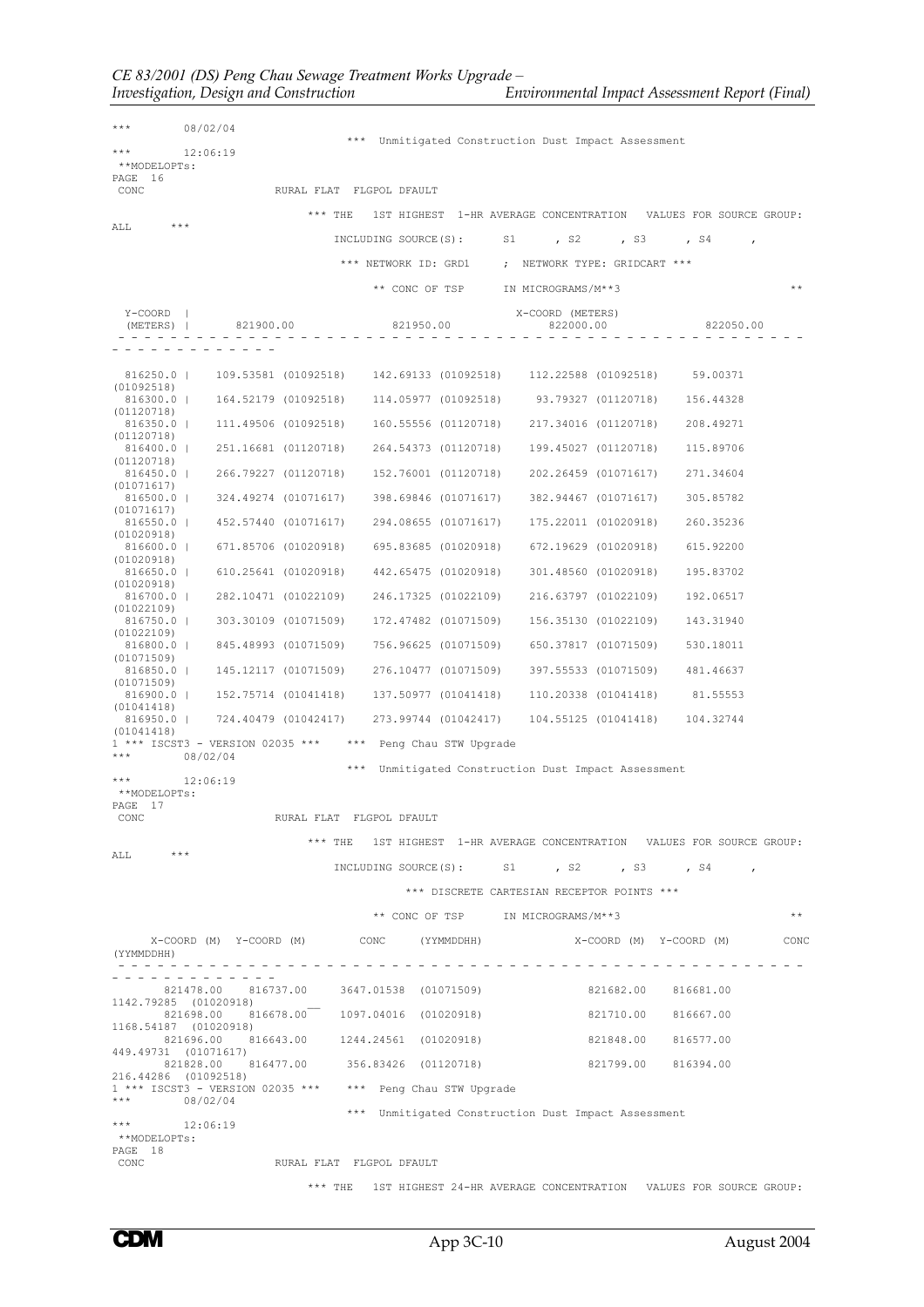\*\*\* 08/02/04 \*\*\* Unmitigated Construction Dust Impact Assessment<br>
\*\*\* 12.06.19 12:06:19 \*\*MODELOPTs: PAGE 16 RURAL FLAT FLGPOL DFAULT \*\*\* THE 1ST HIGHEST 1-HR AVERAGE CONCENTRATION VALUES FOR SOURCE GROUP:  $* * *$ INCLUDING SOURCE(S): S1 , S2 , S3 , S4 \*\*\* NETWORK ID: GRD1 ; NETWORK TYPE: GRIDCART \*\*\* \*\* CONC OF TSP IN MICROGRAMS/M\*\*3 \*\* Y-COORD | X-COORD (METERS) (METERS) | 821900.00 821950.00 822000.00 822050.00 - - - - - - - - - - - - - - - - - - - - - - - - - - - - - - - - - - - - - - - - - - - - - - - - - - - - - - - - - - - - - - - - - - 816250.0 | 109.53581 (01092518) 142.69133 (01092518) 112.22588 (01092518) 59.00371 (01092518)<br>816300.0 | 164.52179 (01092518) 816300.0 | 164.52179 (01092518) 114.05977 (01092518) 93.79327 (01120718) 156.44328 (01120718) 816350.0 | 111.49506 (01092518) 160.55556 (01120718) 217.34016 (01120718) 208.49271  $(01120718)$ <br>816400.0 | 251.16681 (01120718) 816400.0 | 251.16681 (01120718) 264.54373 (01120718) 199.45027 (01120718) 115.89706 (01120718)<br>816450.0 | 266.79227 (01120718) 816450.0 | 266.79227 (01120718) 152.76001 (01120718) 202.26459 (01071617) 271.34604 (01071617) 816500.0 | 324.49274 (01071617) 398.69846 (01071617) 382.94467 (01071617) 305.85782 (01071617) 816550.0 | 452.57440 (01071617) 294.08655 (01071617) 175.22011 (01020918) 260.35236 (01020918) 816600.0 | 671.85706 (01020918) 695.83685 (01020918) 672.19629 (01020918) 615.92200 (01020918)<br>816650.0 | 610.25641 (01020918) 816650.0 | 610.25641 (01020918) 442.65475 (01020918) 301.48560 (01020918) 195.83702  $(01020918)$ <br>816700.0 | 282.10471 (01022109) 816700.0 | 282.10471 (01022109) 246.17325 (01022109) 216.63797 (01022109) 192.06517 (01022109)<br>816750.0 | 303.30109 (01071509) 816750.0 | 303.30109 (01071509) 172.47482 (01071509) 156.35130 (01022109) 143.31940 (01022109) 816800.0 | 845.48993 (01071509) 756.96625 (01071509) 650.37817 (01071509) 530.18011  $(01071509)$ <br>816850.0 | 816850.0 | 145.12117 (01071509) 276.10477 (01071509) 397.55533 (01071509) 481.46637 (01071509)<br>816900.0 | 152.75714 (01041418) 816900.0 | 152.75714 (01041418) 137.50977 (01041418) 110.20338 (01041418) 81.55553 (01041418) 816950.0 | 724.40479 (01042417) 273.99744 (01042417) 104.55125 (01041418) 104.32744 (01041418) 1 \*\*\* ISCST3 - VERSION 02035 \*\*\* \*\*\* Peng Chau STW Upgrade<br>\*\*\* 198/02/04 \*\*\* 08/02/04 \*\*\* Unmitigated Construction Dust Impact Assessment 12:06:19 \*\*MODELOPTs: PAGE 17<br>CONC RURAL FLAT FLGPOL DFAULT \*\*\* THE 1ST HIGHEST 1-HR AVERAGE CONCENTRATION VALUES FOR SOURCE GROUP:  $***$ INCLUDING SOURCE(S): S1 , S2 , S3 , S4 \*\*\* DISCRETE CARTESIAN RECEPTOR POINTS \*\*\* \*\* CONC OF TSP IN MICROGRAMS/M\*\*3 \*\* \*\* X-COORD (M) Y-COORD (M) CONC (YYMMDDHH) X-COORD (M) Y-COORD (M) CONC (YYMMDDHH) - - - - - - - - - - - - - - - - - - - - - - - - - - - - - - - - - - - - - - - - - - - - - - - - - - - - - - - - - - - - - - - - - - 821478.00 816737.00 3647.01538 (01071509) 821682.00 816681.00 1142.79285 (01020<br>821698.00 。,<br>816678.00 1097.04016 (01020918) 821710.00 816667.00 1168.54187 (01020918)<br>821696.00 8 821696.00 816643.00 1244.24561 (01020918) 821848.00 816577.00 449.49731 (01071617) 821828.00 816477.00 356.83426 (01120718) 821799.00 816394.00 216.44286 (01092518) 1 \*\*\* ISCST3 - VERSION 02035 \*\*\* \*\*\* Peng Chau STW Upgrade \*\*\* 08/02/04 \*\*\* Unmitigated Construction Dust Impact Assessment \*\*\* 12:06:19 \*\*MODELOPTs: PAGE 18<br>CONC RURAL FLAT FLGPOL DFAULT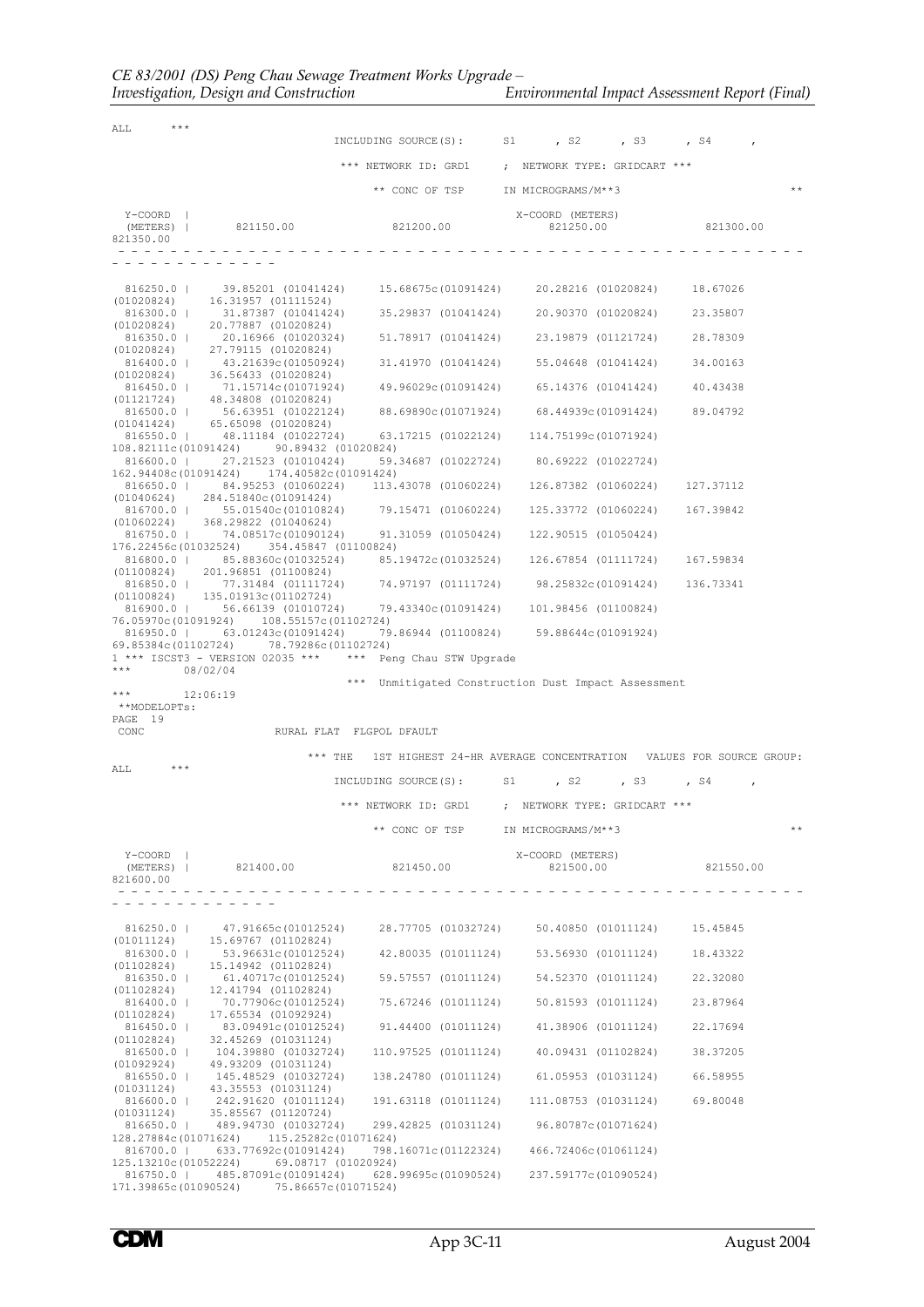*Investigation, Design and Construction Environmental Impact Assessment Report (Final)*

| ALL                                  | *** |                                                                                                                                                                                                                                                                                               |                                                     |                                                   |                     |                                                                  |       |
|--------------------------------------|-----|-----------------------------------------------------------------------------------------------------------------------------------------------------------------------------------------------------------------------------------------------------------------------------------------------|-----------------------------------------------------|---------------------------------------------------|---------------------|------------------------------------------------------------------|-------|
|                                      |     |                                                                                                                                                                                                                                                                                               | INCLUDING SOURCE (S):                               | S1 <sub>s</sub><br>, S2                           | , S3                | , S4                                                             |       |
|                                      |     |                                                                                                                                                                                                                                                                                               | *** NETWORK ID: GRD1 ; NETWORK TYPE: GRIDCART ***   |                                                   |                     |                                                                  |       |
|                                      |     |                                                                                                                                                                                                                                                                                               | ** CONC OF TSP                                      | IN MICROGRAMS/M**3                                |                     |                                                                  | $* *$ |
| Y-COORD  <br>(METERS)  <br>821350.00 |     | 821150.00                                                                                                                                                                                                                                                                                     | 821200.00                                           | X-COORD (METERS)<br>821250.00                     |                     | 821300.00                                                        |       |
|                                      |     |                                                                                                                                                                                                                                                                                               |                                                     |                                                   |                     |                                                                  |       |
|                                      |     | 816250.0   39.85201 (01041424) 15.68675c (01091424) 20.28216 (01020824)                                                                                                                                                                                                                       |                                                     |                                                   |                     | 18.67026                                                         |       |
|                                      |     | $(01020824)$ 16.31957 (01111524)<br>816300.0   31.87387 (01041424)                                                                                                                                                                                                                            |                                                     | 35.29837 (01041424) 20.90370 (01020824)           |                     | 23.35807                                                         |       |
|                                      |     | $(01020824)$ 20.77887 (01020824)<br>816350.0   20.16966 (01020324) 51.78917 (01041424)                                                                                                                                                                                                        |                                                     |                                                   | 23.19879 (01121724) | 28.78309                                                         |       |
|                                      |     | $(01020824)$ 27.79115 $(01020824)$                                                                                                                                                                                                                                                            |                                                     |                                                   |                     |                                                                  |       |
|                                      |     | 816400.0   43.21639c (01050924)<br>$(01020824)$ 36.56433 (01020824)                                                                                                                                                                                                                           |                                                     | 31.41970 (01041424) 55.04648 (01041424)           |                     | 34.00163                                                         |       |
|                                      |     | 816450.0   71.15714c (01071924)<br>$(01121724)$ 48.34808 (01020824)                                                                                                                                                                                                                           |                                                     | 49.96029c(01091424) 65.14376 (01041424)           |                     | 40.43438                                                         |       |
|                                      |     | 816500.0   56.63951 (01022124) 88.69890c (01071924) 68.44939c (01091424)<br>$(01041424)$ 65.65098 (01020824)                                                                                                                                                                                  |                                                     |                                                   |                     | 89.04792                                                         |       |
| 108.82111c(01091424)                 |     | 816550.0   48.11184 (01022724) 63.17215 (01022124) 114.75199c (01071924)<br>90.89432 (01020824)                                                                                                                                                                                               |                                                     |                                                   |                     |                                                                  |       |
|                                      |     | 816600.0   27.21523 (01010424)<br>162.94408c(01091424) 174.40582c(01091424)                                                                                                                                                                                                                   | 59.34687 (01022724)                                 | 80.69222 (01022724)                               |                     |                                                                  |       |
|                                      |     | 816650.0   84.95253 (01060224)                                                                                                                                                                                                                                                                |                                                     | 113,43078 (01060224) 126,87382 (01060224)         |                     | 127.37112                                                        |       |
|                                      |     | $(01040624)$ 284.51840c(01091424)<br>816700.0   55.01540c(01010824) 79.15471 (01060224)                                                                                                                                                                                                       |                                                     |                                                   |                     | 125.33772 (01060224) 167.39842                                   |       |
| (01060224)                           |     | 368.29822 (01040624)<br>816750.0   74.08517c (01090124)                                                                                                                                                                                                                                       |                                                     | 91.31059 (01050424) 122.90515 (01050424)          |                     |                                                                  |       |
|                                      |     | 176.22456c(01032524) 354.45847 (01100824)<br>816800.0   85.88360c (01032524)                                                                                                                                                                                                                  | 85.19472c(01032524) 126.67854 (01111724)            |                                                   |                     | 167.59834                                                        |       |
|                                      |     | $(01100824)$ 201.96851 (01100824)<br>816850.0   77.31484 (01111724) 74.97197 (01111724) 98.25832c (01091424) 136.73341                                                                                                                                                                        |                                                     |                                                   |                     |                                                                  |       |
| (01100824)                           |     | 135.01913c(01102724)<br>816900.0   56.66139 (01010724)                                                                                                                                                                                                                                        |                                                     | 79.43340c(01091424) 101.98456 (01100824)          |                     |                                                                  |       |
|                                      |     | 76.05970c(01091924) 108.55157c(01102724)<br>816950.0   63.01243c (01091424)                                                                                                                                                                                                                   |                                                     | 79.86944 (01100824) 59.88644c (01091924)          |                     |                                                                  |       |
|                                      |     | 69.85384c(01102724) 78.79286c(01102724)<br>$1$ *** ISCST3 - VERSION 02035 *** $***$ Peng Chau STW Upgrade                                                                                                                                                                                     |                                                     |                                                   |                     |                                                                  |       |
|                                      |     | 08/02/04                                                                                                                                                                                                                                                                                      | *** Unmitigated Construction Dust Impact Assessment |                                                   |                     |                                                                  |       |
| ***<br>**MODELOPTs:                  |     | 12:06:19                                                                                                                                                                                                                                                                                      |                                                     |                                                   |                     |                                                                  |       |
| PAGE 19<br>CONC                      |     |                                                                                                                                                                                                                                                                                               | RURAL FLAT FLGPOL DFAULT                            |                                                   |                     |                                                                  |       |
|                                      |     |                                                                                                                                                                                                                                                                                               |                                                     |                                                   |                     |                                                                  |       |
| ALL                                  |     | $***$ THE                                                                                                                                                                                                                                                                                     |                                                     |                                                   |                     | 1ST HIGHEST 24-HR AVERAGE CONCENTRATION VALUES FOR SOURCE GROUP: |       |
|                                      |     |                                                                                                                                                                                                                                                                                               | INCLUDING SOURCE(S): S1                             |                                                   | , s2, , s3          | , S4                                                             |       |
|                                      |     |                                                                                                                                                                                                                                                                                               | *** NETWORK ID: GRD1 ; NETWORK TYPE: GRIDCART ***   |                                                   |                     |                                                                  |       |
|                                      |     |                                                                                                                                                                                                                                                                                               |                                                     | ** CONC OF TSP IN MICROGRAMS/M**3                 |                     |                                                                  | $* *$ |
| Y-COORD  <br>821600.00               |     | (METERS)   821400.00 821450.00                                                                                                                                                                                                                                                                |                                                     | X-COORD (METERS)                                  |                     | 821500.00 821550.00                                              |       |
|                                      |     | .                                                                                                                                                                                                                                                                                             |                                                     |                                                   |                     |                                                                  |       |
|                                      |     |                                                                                                                                                                                                                                                                                               |                                                     |                                                   |                     |                                                                  |       |
|                                      |     | 816250.0   47.91665c(01012524) 28.77705 (01032724) 50.40850 (01011124) 15.45845                                                                                                                                                                                                               |                                                     |                                                   |                     |                                                                  |       |
|                                      |     | $(01011124)$ 15.69767 (01102824)                                                                                                                                                                                                                                                              |                                                     |                                                   |                     | 18.43322                                                         |       |
|                                      |     | 816300.0   53.96631c(01012524) 42.80035 (01011124) 53.56930 (01011124)<br>(01102824) 15.14942 (01102824)<br>$816350.0 \hspace{10mm}   \hspace{10mm} 61.40717c(01012524) \hspace{10mm} 59.57557 \hspace{10mm}(01011124) \hspace{10mm} 54.52370 \hspace{10mm}(01011124) \hspace{10mm} 22.32080$ |                                                     |                                                   |                     |                                                                  |       |
|                                      |     | $(01102824)$ 12.41794 (01102824)<br>816400.0   70.77906c(01012524) 75.67246 (01011124) 50.81593 (01011124)                                                                                                                                                                                    |                                                     |                                                   |                     | 23.87964                                                         |       |
|                                      |     |                                                                                                                                                                                                                                                                                               |                                                     |                                                   |                     | 22.17694                                                         |       |
|                                      |     | $(01102824)$ 17.65534 (01092924)<br>816450.0   83.09491c(01012524) 91.44400 (01011124) 41.38906 (01011124)<br>$(01102824)$ 32.45269 (01031124)<br>816500.0   104.39880 (01032724)                                                                                                             |                                                     | 110.97525 (01011124) 40.09431 (01102824) 38.37205 |                     |                                                                  |       |
|                                      |     | $(01092924)$ 49.93209 $(01031124)$                                                                                                                                                                                                                                                            |                                                     | 138.24780 (01011124) 61.05953 (01031124) 66.58955 |                     |                                                                  |       |
|                                      |     | 816550.0   145.48529 (01032724)<br>$(01031124)$ $43.35553$ $(01031124)$                                                                                                                                                                                                                       |                                                     |                                                   |                     |                                                                  |       |
|                                      |     | 816600.0   242.91620 (01011124) 191.63118 (01011124) 111.08753 (01031124) 69.80048<br>$(01031124)$ 35.85567 (01120724)                                                                                                                                                                        |                                                     |                                                   |                     |                                                                  |       |
|                                      |     | 816650.0   489.94730 (01032724) 299.42825 (01031124) 96.80787c (01071624)<br>128.27884c(01071624) 115.25282c(01071624)                                                                                                                                                                        |                                                     |                                                   |                     |                                                                  |       |
|                                      |     | 816700.0   633.77692c (01091424) 798.16071c (01122324) 466.72406c (01061124)<br>125.13210c(01052224) 69.08717 (01020924)<br>816750.0   485.87091c(01091424) 628.99695c(01090524) 237.59177c(01090524)                                                                                         |                                                     |                                                   |                     |                                                                  |       |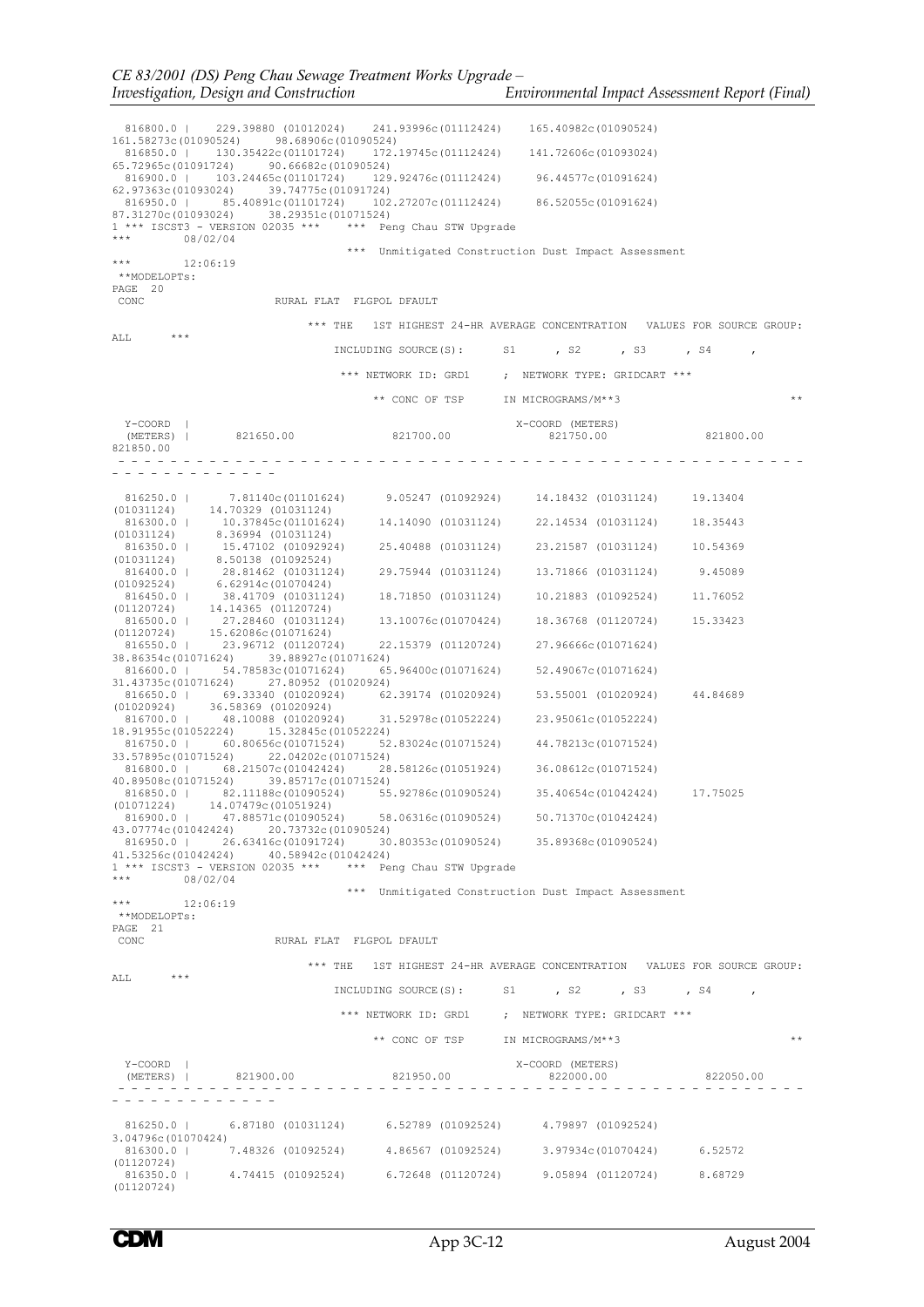| 816800.0  <br>229.39880 (01012024)                                                                                   | 241.93996c(01112424)              | 165.40982c(01090524)                                                                |           |
|----------------------------------------------------------------------------------------------------------------------|-----------------------------------|-------------------------------------------------------------------------------------|-----------|
| 98.68906c(01090524)<br>161,58273c(01090524)<br>816850.0   130.35422c (01101724)                                      |                                   | 172.19745c(01112424) 141.72606c(01093024)                                           |           |
| 65.72965c(01091724) 90.66682c(01090524)<br>816900.0   103.24465c (01101724)                                          | 129.92476c(01112424)              | 96.44577c(01091624)                                                                 |           |
| 62.97363c(01093024) 39.74775c(01091724)<br>816950.0   85.40891c(01101724) 102.27207c(01112424) 86.52055c(01091624)   |                                   |                                                                                     |           |
| 87.31270c(01093024)<br>38.29351c(01071524)<br>1 *** ISCST3 - VERSION 02035 *** *** Peng Chau STW Upgrade             |                                   |                                                                                     |           |
| ***<br>08/02/04                                                                                                      |                                   |                                                                                     |           |
| $***$<br>12:06:19                                                                                                    |                                   | *** Unmitigated Construction Dust Impact Assessment                                 |           |
| **MODELOPTs:<br>PAGE 20                                                                                              |                                   |                                                                                     |           |
| CONC<br>RURAL FLAT FLGPOL DFAULT                                                                                     |                                   |                                                                                     |           |
| $***$ THE<br>ALL                                                                                                     |                                   | 1ST HIGHEST 24-HR AVERAGE CONCENTRATION VALUES FOR SOURCE GROUP:                    |           |
|                                                                                                                      | INCLUDING SOURCE(S): S1           | , s2, , s3                                                                          | $,$ $S4$  |
|                                                                                                                      | *** NETWORK ID: GRD1              | ; NETWORK TYPE: GRIDCART ***                                                        |           |
|                                                                                                                      | ** CONC OF TSP                    | IN MICROGRAMS/M**3                                                                  | $* *$     |
| Y-COORD                                                                                                              |                                   | X-COORD (METERS)<br>821750.00                                                       |           |
| 821650.00<br>(METERS)  <br>821850.00                                                                                 | 821700.00                         |                                                                                     | 821800.00 |
|                                                                                                                      |                                   |                                                                                     |           |
| 816250.0   7.81140c (01101624)                                                                                       | 9.05247 (01092924)                | 14.18432 (01031124)                                                                 | 19.13404  |
| 14.70329 (01031124)<br>(01031124)<br>816300.0   10.37845c (01101624)                                                 | 14,14090 (01031124)               | 22.14534 (01031124)                                                                 | 18.35443  |
| 8.36994 (01031124)<br>(01031124)                                                                                     | 25.40488 (01031124)               | 23.21587 (01031124)                                                                 | 10.54369  |
| $816350.0$   $15.47102$ (01092924)<br>(01031124) 8.50138 (01092524)<br>28.81462 (01031124)<br>816400.0               | 29.75944 (01031124)               | 13.71866 (01031124)                                                                 | 9.45089   |
| 6.62914c(01070424)<br>(01092524)<br>38.41709 (01031124)<br>816450.0                                                  | 18.71850 (01031124)               | 10.21883 (01092524)                                                                 | 11.76052  |
| 14.14365 (01120724)<br>(01120724)<br>816500.0   27.28460 (01031124)                                                  | 13,10076c(01070424)               | 18.36768 (01120724)                                                                 | 15.33423  |
| 15.62086c(01071624)<br>(01120724)<br>23.96712 (01120724)<br>816550.0                                                 | 22.15379 (01120724)               | 27.96666c(01071624)                                                                 |           |
| 39.88927c(01071624)<br>38.86354c(01071624)                                                                           |                                   |                                                                                     |           |
| 54.78583c(01071624)<br>816600.0  <br>31.43735c (01071624)<br>27.80952 (01020924)                                     | 65.96400c(01071624)               | 52.49067c(01071624)                                                                 |           |
| 816650.0   69.33340 (01020924)<br>(01020924)<br>36.58369 (01020924)                                                  | 62.39174 (01020924)               | 53.55001 (01020924)                                                                 | 44.84689  |
| 816700.0  <br>48.10088 (01020924)<br>18,91955c(01052224)<br>15.32845c (01052224)                                     | 31,52978c(01052224)               | 23.95061c(01052224)                                                                 |           |
| 816750.0  <br>60.80656c(01071524)<br>22.04202c(01071524)<br>33.57895c(01071524)                                      | 52.83024c(01071524)               | 44.78213c(01071524)                                                                 |           |
| 816800.0   68.21507c (01042424)<br>39.85717c (01071524)<br>40.89508c(01071524)                                       | 28.58126c(01051924)               | 36.08612c(01071524)                                                                 |           |
| 816850.0   82.11188c (01090524)<br>(01071224)<br>14.07479c(01051924)                                                 | 55.92786c(01090524)               | 35.40654c(01042424)                                                                 | 17.75025  |
| 816900.0   47.88571c (01090524) 58.06316c (01090524) 50.71370c (01042424)<br>43.07774c(01042424) 20.73732c(01090524) |                                   |                                                                                     |           |
| 816950.0   26.63416c (01091724) 30.80353c (01090524) 35.89368c (01090524)<br>41.53256c(01042424) 40.58942c(01042424) |                                   |                                                                                     |           |
| $1***$ ISCST3 - VERSION 02035 *** *** Peng Chau STW Upgrade<br>*** $08/02/04$                                        |                                   |                                                                                     |           |
| *** $12:06:19$                                                                                                       |                                   | *** Unmitigated Construction Dust Impact Assessment                                 |           |
| **MODELOPTs:                                                                                                         |                                   |                                                                                     |           |
| PAGE 21<br>RURAL FLAT FLGPOL DFAULT<br>CONC                                                                          |                                   |                                                                                     |           |
|                                                                                                                      |                                   | *** THE 1ST HIGHEST 24-HR AVERAGE CONCENTRATION VALUES FOR SOURCE GROUP:            |           |
| ALL<br>***                                                                                                           |                                   | INCLUDING SOURCE(S): S1, S2, S3, S4,                                                |           |
|                                                                                                                      |                                   | ${***}\text{ NETWORK ID: GRD1}\qquad\qquad\text{NETWORK TYPE: GRIDCART }\text{***}$ |           |
|                                                                                                                      | ** CONC OF TSP IN MICROGRAMS/M**3 |                                                                                     | **        |
| Y-COORD                                                                                                              |                                   | X-COORD (METERS)                                                                    |           |
| (METERS)   821900.00 821950.00 82000.00 822000.00 822050.00                                                          |                                   |                                                                                     |           |
|                                                                                                                      |                                   |                                                                                     |           |
| 816250.0   6.87180 (01031124) 6.52789 (01092524) 4.79897 (01092524)<br>3,04796c(01070424)                            |                                   |                                                                                     |           |
| 816300.0   7.48326 (01092524) 4.86567 (01092524) 3.97934c (01070424) 6.52572                                         |                                   |                                                                                     |           |
| (01120724)<br>816350.0   4.74415 (01092524) 6.72648 (01120724) 9.05894 (01120724) 8.68729<br>(01120724)              |                                   |                                                                                     |           |
|                                                                                                                      |                                   |                                                                                     |           |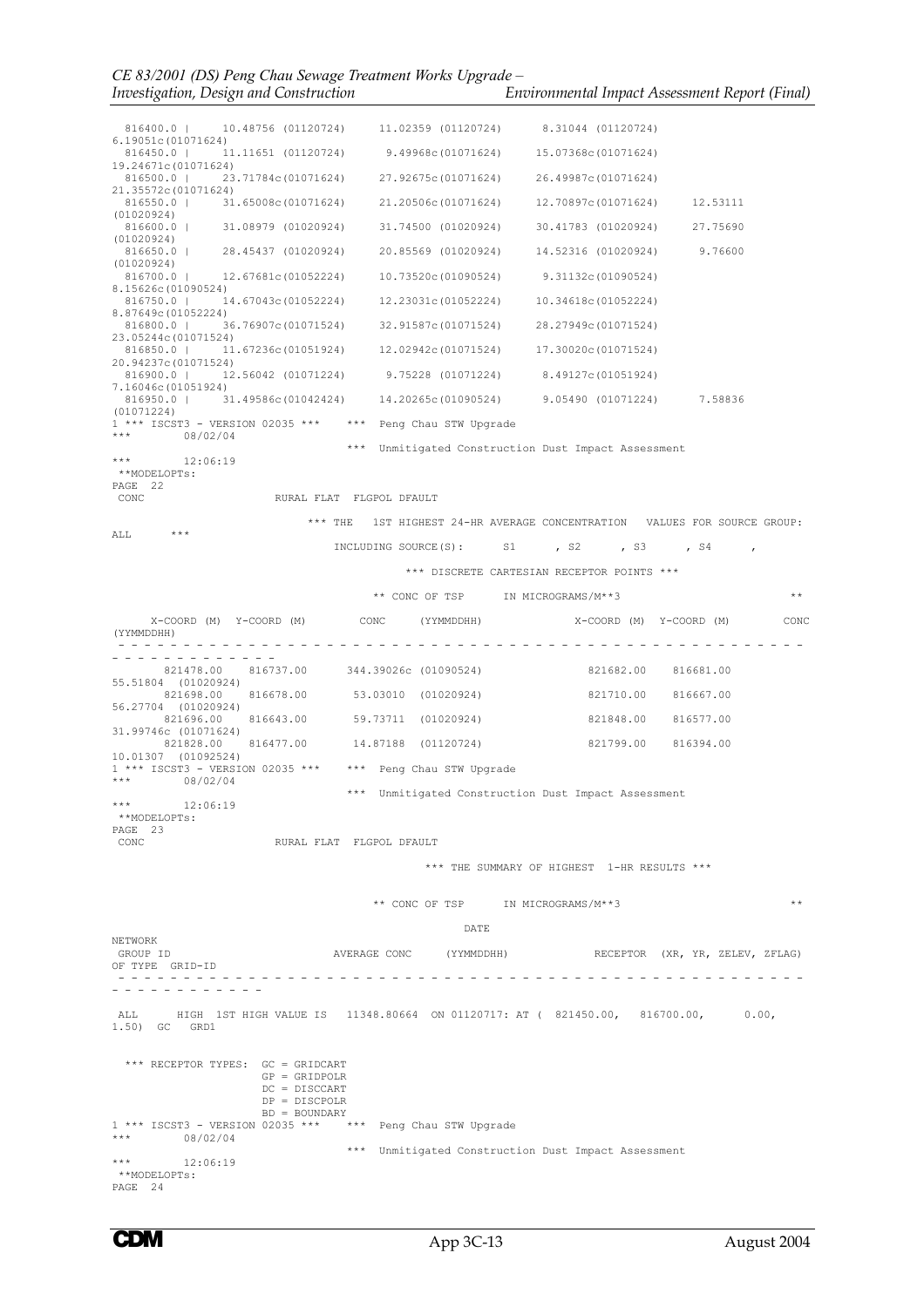| 816400.0   10.48756 (01120724) 11.02359 (01120724) 8.31044 (01120724)<br>6.19051c(01071624)            |                                                                                   |                                                                          |  |                                 |              |
|--------------------------------------------------------------------------------------------------------|-----------------------------------------------------------------------------------|--------------------------------------------------------------------------|--|---------------------------------|--------------|
| $816450.0   11.11651 (01120724) 9.49968c(01071624) 15.07368c(01071624)$<br>19.24671c(01071624)         |                                                                                   |                                                                          |  |                                 |              |
| 816500.0   23.71784c (01071624) 27.92675c (01071624) 26.49987c (01071624)                              |                                                                                   |                                                                          |  |                                 |              |
| 21,35572c(01071624)<br>816550.0   31.65008c(01071624) 21.20506c(01071624) 12.70897c(01071624) 12.53111 |                                                                                   |                                                                          |  |                                 |              |
| (01020924)<br>816600.0   31.08979 (01020924) 31.74500 (01020924) 30.41783 (01020924) 27.75690          |                                                                                   |                                                                          |  |                                 |              |
| (01020924)<br>816650.0   28.45437 (01020924) 20.85569 (01020924) 14.52316 (01020924) 9.76600           |                                                                                   |                                                                          |  |                                 |              |
| (01020924)<br>816700.0   12.67681c(01052224) 10.73520c(01090524) 9.31132c(01090524)                    |                                                                                   |                                                                          |  |                                 |              |
| 8,15626c(01090524)<br>816750.0   14.67043c (01052224) 12.23031c (01052224) 10.34618c (01052224)        |                                                                                   |                                                                          |  |                                 |              |
| 8.87649c(01052224)<br>816800.0   36.76907c(01071524) 32.91587c(01071524) 28.27949c(01071524)           |                                                                                   |                                                                          |  |                                 |              |
| 23.05244c(01071524)<br>816850.0   11.67236c (01051924) 12.02942c (01071524) 17.30020c (01071524)       |                                                                                   |                                                                          |  |                                 |              |
| 20,94237c(01071524)<br>816900.0   12.56042 (01071224) 9.75228 (01071224) 8.49127c (01051924)           |                                                                                   |                                                                          |  |                                 |              |
| 7,16046c(01051924)<br>816950.0   31.49586c(01042424) 14.20265c(01090524) 9.05490 (01071224) 7.58836    |                                                                                   |                                                                          |  |                                 |              |
| (01071224)<br>$1***$ ISCST3 - VERSION 02035 *** *** Peng Chau STW Upgrade                              |                                                                                   |                                                                          |  |                                 |              |
| *** 08/02/04                                                                                           |                                                                                   |                                                                          |  |                                 |              |
| $\star \star \star$<br>12:06:19                                                                        |                                                                                   | *** Unmitigated Construction Dust Impact Assessment                      |  |                                 |              |
| **MODELOPTs:<br>PAGE 22                                                                                |                                                                                   |                                                                          |  |                                 |              |
| CONC                                                                                                   | RURAL FLAT FLGPOL DFAULT                                                          |                                                                          |  |                                 |              |
| ALL                                                                                                    |                                                                                   | *** THE 1ST HIGHEST 24-HR AVERAGE CONCENTRATION VALUES FOR SOURCE GROUP: |  |                                 |              |
|                                                                                                        |                                                                                   | INCLUDING SOURCE(S): S1, S2, S3, S4,                                     |  |                                 |              |
|                                                                                                        |                                                                                   | *** DISCRETE CARTESIAN RECEPTOR POINTS ***                               |  |                                 |              |
|                                                                                                        |                                                                                   | ** CONC OF TSP IN MICROGRAMS/M**3                                        |  |                                 | $\star\star$ |
| (YYMMDDHH)                                                                                             | X-COORD (M) $Y$ -COORD (M) $CONC$ (YYMMDDHH) $X$ -COORD (M) $Y$ -COORD (M) $CONC$ |                                                                          |  |                                 |              |
|                                                                                                        |                                                                                   |                                                                          |  |                                 |              |
|                                                                                                        | 821478.00 816737.00 344.39026c (01090524) 821682.00 816681.00                     |                                                                          |  |                                 |              |
| 55.51804 (01020924)                                                                                    | 821698.00 816678.00 53.03010 (01020924) 821710.00 816667.00                       |                                                                          |  |                                 |              |
| 56.27704 (01020924)                                                                                    | 821696.00 816643.00 59.73711 (01020924)                                           |                                                                          |  | 821848.00 816577.00             |              |
| 31,99746c (01071624)                                                                                   | 821828.00 816477.00  14.87188  (01120724)  821799.00  816394.00                   |                                                                          |  |                                 |              |
| 10.01307 (01092524)<br>$1$ *** ISCST3 - VERSION 02035 *** *** Peng Chau STW Upgrade                    |                                                                                   |                                                                          |  |                                 |              |
| *** $08/02/04$                                                                                         |                                                                                   | *** Unmitigated Construction Dust Impact Assessment                      |  |                                 |              |
| 12:06:19<br>***<br>**MODELOPTs:                                                                        |                                                                                   |                                                                          |  |                                 |              |
| PAGE 23                                                                                                |                                                                                   |                                                                          |  |                                 |              |
| CONC                                                                                                   | RURAL FLAT FLGPOL DFAULT                                                          |                                                                          |  |                                 |              |
|                                                                                                        |                                                                                   | *** THE SUMMARY OF HIGHEST 1-HR RESULTS ***                              |  |                                 |              |
|                                                                                                        |                                                                                   | ** CONC OF TSP IN MICROGRAMS/M**3                                        |  |                                 | $* *$        |
|                                                                                                        |                                                                                   | DATE                                                                     |  |                                 |              |
| NETWORK<br>GROUP ID                                                                                    |                                                                                   | AVERAGE CONC (YYMMDDHH)                                                  |  | RECEPTOR (XR, YR, ZELEV, ZFLAG) |              |
| OF TYPE GRID-ID                                                                                        |                                                                                   |                                                                          |  |                                 |              |
|                                                                                                        |                                                                                   | ------------------------                                                 |  |                                 |              |
| ALL HIGH 1ST HIGH VALUE IS 11348.80664 ON 01120717: AT (821450.00, 816700.00, 0.00,<br>1.50) GC GRD1   |                                                                                   |                                                                          |  |                                 |              |
| *** RECEPTOR TYPES: GC = GRIDCART                                                                      | $GP = GRIDPOLR$<br>DC = DISCCART<br>$DP = DISCPOLR$                               |                                                                          |  |                                 |              |
|                                                                                                        | $BD = BOUNDARY$                                                                   |                                                                          |  |                                 |              |
| 1 *** ISCST3 - VERSION 02035 ***     ***   Peng Chau STW Upgrade<br>*** $08/02/04$                     |                                                                                   |                                                                          |  |                                 |              |
| $\star\star\star$<br>12:06:19<br>**MODELOPTs:<br>PAGE 24                                               |                                                                                   | *** Unmitigated Construction Dust Impact Assessment                      |  |                                 |              |